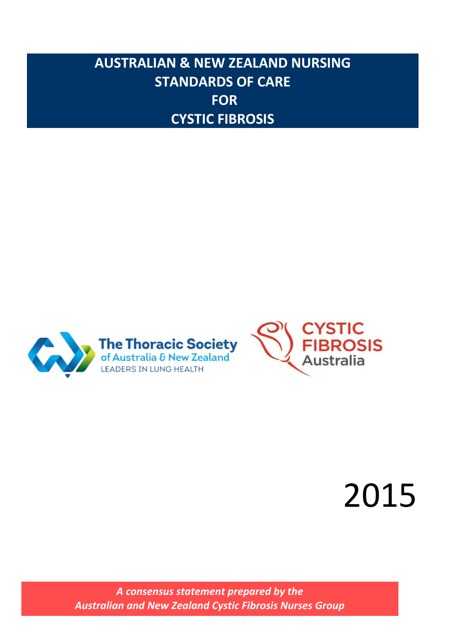# **AUSTRALIAN & NEW ZEALAND NURSING STANDARDS OF CARE FOR CYSTIC FIBROSIS**





# 2015

*A consensus statement prepared by the Australian and New Zealand Cystic Fibrosis Nurses Group*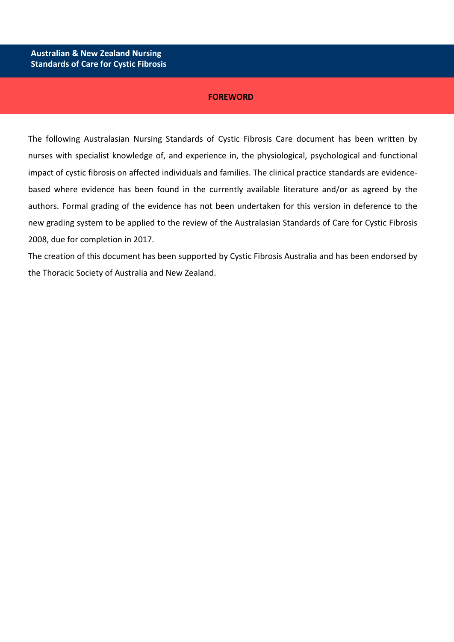#### **FOREWORD**

The following Australasian Nursing Standards of Cystic Fibrosis Care document has been written by nurses with specialist knowledge of, and experience in, the physiological, psychological and functional impact of cystic fibrosis on affected individuals and families. The clinical practice standards are evidencebased where evidence has been found in the currently available literature and/or as agreed by the authors. Formal grading of the evidence has not been undertaken for this version in deference to the new grading system to be applied to the review of the Australasian Standards of Care for Cystic Fibrosis 2008, due for completion in 2017.

The creation of this document has been supported by Cystic Fibrosis Australia and has been endorsed by the Thoracic Society of Australia and New Zealand.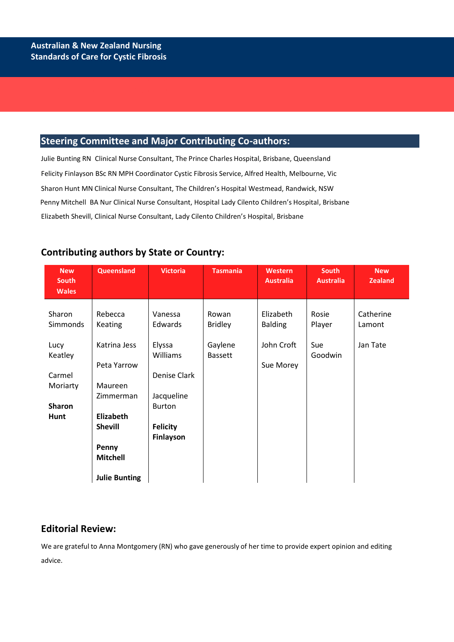**Australian & New Zealand Nursing** 

## **Steering Committee and Major Contributing Co-authors:**

Julie Bunting RN Clinical Nurse Consultant, The Prince Charles Hospital, Brisbane, Queensland Felicity Finlayson BSc RN MPH Coordinator Cystic Fibrosis Service, Alfred Health, Melbourne, Vic Sharon Hunt MN Clinical Nurse Consultant, The Children's Hospital Westmead, Randwick, NSW Penny Mitchell BA Nur Clinical Nurse Consultant, Hospital Lady Cilento Children's Hospital, Brisbane Elizabeth Shevill, Clinical Nurse Consultant, Lady Cilento Children's Hospital, Brisbane

| <b>New</b><br><b>South</b><br><b>Wales</b> | Queensland                  | <b>Victoria</b>              | <b>Tasmania</b>           | Western<br><b>Australia</b> | <b>South</b><br><b>Australia</b> | <b>New</b><br><b>Zealand</b> |
|--------------------------------------------|-----------------------------|------------------------------|---------------------------|-----------------------------|----------------------------------|------------------------------|
| Sharon<br>Simmonds                         | Rebecca<br>Keating          | Vanessa<br>Edwards           | Rowan<br><b>Bridley</b>   | Elizabeth<br><b>Balding</b> | Rosie<br>Player                  | Catherine<br>Lamont          |
| Lucy<br>Keatley                            | Katrina Jess<br>Peta Yarrow | Elyssa<br><b>Williams</b>    | Gaylene<br><b>Bassett</b> | John Croft<br>Sue Morey     | Sue<br>Goodwin                   | Jan Tate                     |
| Carmel<br>Moriarty                         | Maureen<br>Zimmerman        | Denise Clark<br>Jacqueline   |                           |                             |                                  |                              |
| <b>Sharon</b><br>Hunt                      | Elizabeth                   | <b>Burton</b>                |                           |                             |                                  |                              |
|                                            | <b>Shevill</b>              | <b>Felicity</b><br>Finlayson |                           |                             |                                  |                              |
|                                            | Penny<br><b>Mitchell</b>    |                              |                           |                             |                                  |                              |
|                                            | <b>Julie Bunting</b>        |                              |                           |                             |                                  |                              |

# **Contributing authors by State or Country:**

## **Editorial Review:**

We are grateful to Anna Montgomery (RN) who gave generously of her time to provide expert opinion and editing advice.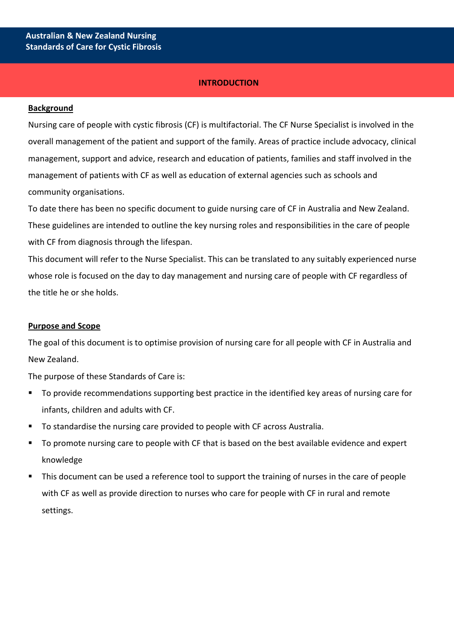#### **INTRODUCTION**

#### **Background**

Nursing care of people with cystic fibrosis (CF) is multifactorial. The CF Nurse Specialist is involved in the overall management of the patient and support of the family. Areas of practice include advocacy, clinical management, support and advice, research and education of patients, families and staff involved in the management of patients with CF as well as education of external agencies such as schools and community organisations.

To date there has been no specific document to guide nursing care of CF in Australia and New Zealand. These guidelines are intended to outline the key nursing roles and responsibilities in the care of people with CF from diagnosis through the lifespan.

This document will refer to the Nurse Specialist. This can be translated to any suitably experienced nurse whose role is focused on the day to day management and nursing care of people with CF regardless of the title he or she holds.

#### **Purpose and Scope**

The goal of this document is to optimise provision of nursing care for all people with CF in Australia and New Zealand.

The purpose of these Standards of Care is:

- To provide recommendations supporting best practice in the identified key areas of nursing care for infants, children and adults with CF.
- To standardise the nursing care provided to people with CF across Australia.
- To promote nursing care to people with CF that is based on the best available evidence and expert knowledge
- This document can be used a reference tool to support the training of nurses in the care of people with CF as well as provide direction to nurses who care for people with CF in rural and remote settings.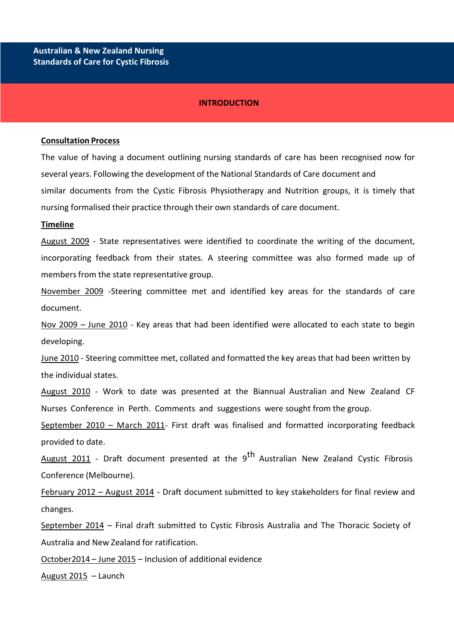#### **INTRODUCTION**

#### **Consultation Process**

The value of having a document outlining nursing standards of care has been recognised now for several years. Following the development of the National Standards of Care document and similar documents from the Cystic Fibrosis Physiotherapy and Nutrition groups, it is timely that nursing formalised their practice through their own standards of care document.

#### **Timeline**

August 2009 - State representatives were identified to coordinate the writing of the document, incorporating feedback from their states. A steering committee was also formed made up of members from the state representative group.

November 2009 -Steering committee met and identified key areas for the standards of care document.

Nov 2009 - June 2010 - Key areas that had been identified were allocated to each state to begin developing.

June 2010 - Steering committee met, collated and formatted the key areas that had been written by the individual states.

August 2010 - Work to date was presented at the Biannual Australian and New Zealand CF Nurses Conference in Perth. Comments and suggestions were sought from the group.

September 2010 - March 2011- First draft was finalised and formatted incorporating feedback provided to date.

August 2011 - Draft document presented at the 9<sup>th</sup> Australian New Zealand Cystic Fibrosis Conference (Melbourne).

February 2012 – August 2014 - Draft document submitted to key stakeholders for final review and changes.

September 2014 – Final draft submitted to Cystic Fibrosis Australia and The Thoracic Society of Australia and New Zealand for ratification.

October2014 – June 2015 – Inclusion of additional evidence

August 2015 – Launch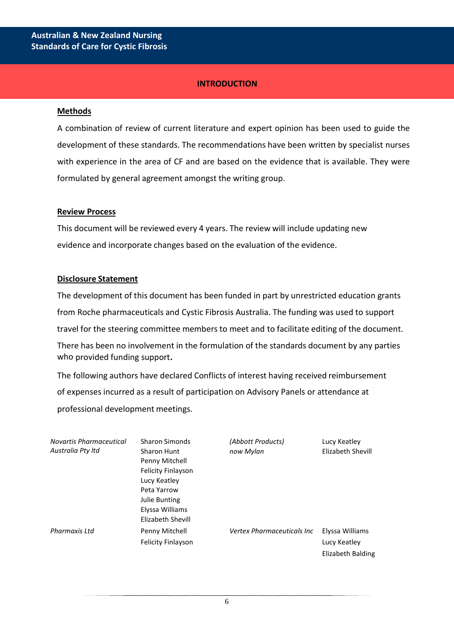## **INTRODUCTION**

#### **Methods**

A combination of review of current literature and expert opinion has been used to guide the development of these standards. The recommendations have been written by specialist nurses with experience in the area of CF and are based on the evidence that is available. They were formulated by general agreement amongst the writing group.

#### **Review Process**

This document will be reviewed every 4 years. The review will include updating new evidence and incorporate changes based on the evaluation of the evidence.

#### **Disclosure Statement**

The development of this document has been funded in part by unrestricted education grants from Roche pharmaceuticals and Cystic Fibrosis Australia. The funding was used to support travel for the steering committee members to meet and to facilitate editing of the document. There has been no involvement in the formulation of the standards document by any parties who provided funding support**.**

The following authors have declared Conflicts of interest having received reimbursement of expenses incurred as a result of participation on Advisory Panels or attendance at professional development meetings.

| Novartis Pharmaceutical | <b>Sharon Simonds</b>     | (Abbott Products)                  | Lucy Keatley      |
|-------------------------|---------------------------|------------------------------------|-------------------|
| Australia Pty ltd       | <b>Sharon Hunt</b>        | now Mylan                          | Elizabeth Shevill |
|                         | Penny Mitchell            |                                    |                   |
|                         | <b>Felicity Finlayson</b> |                                    |                   |
|                         | Lucy Keatley              |                                    |                   |
|                         | Peta Yarrow               |                                    |                   |
|                         | <b>Julie Bunting</b>      |                                    |                   |
|                         | Elyssa Williams           |                                    |                   |
|                         | Elizabeth Shevill         |                                    |                   |
| Pharmaxis Ltd           | Penny Mitchell            | <b>Vertex Pharmaceuticals Inc.</b> | Elyssa Williams   |
|                         | <b>Felicity Finlayson</b> |                                    | Lucy Keatley      |
|                         |                           |                                    | Elizabeth Balding |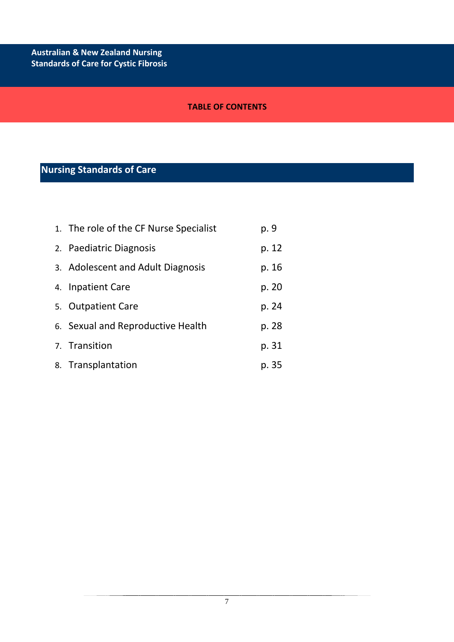## **TABLE OF CONTENTS**

# **Nursing Standards of Care**

| 1. The role of the CF Nurse Specialist | p. 9  |
|----------------------------------------|-------|
| 2. Paediatric Diagnosis                | p. 12 |
| 3. Adolescent and Adult Diagnosis      | p. 16 |
| 4. Inpatient Care                      | p. 20 |
| 5. Outpatient Care                     | p. 24 |
| 6. Sexual and Reproductive Health      | p. 28 |
| 7. Transition                          | p. 31 |
| 8. Transplantation                     | p. 35 |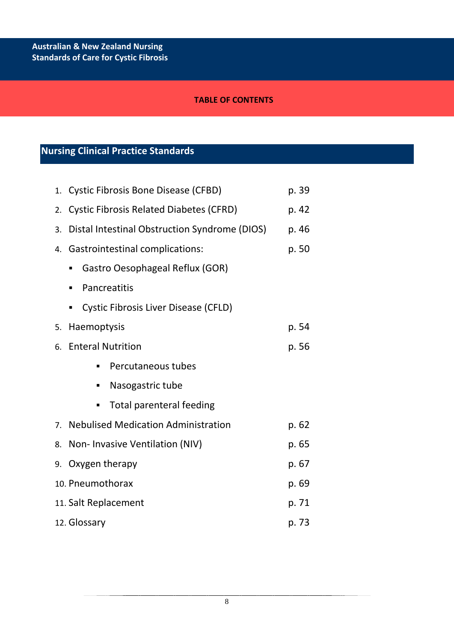## **TABLE OF CONTENTS**

# **Nursing Clinical Practice Standards**

9. **Australian & New Zealand Nursing** 

| 1. | <b>Cystic Fibrosis Bone Disease (CFBD)</b>              | p. 39 |  |
|----|---------------------------------------------------------|-------|--|
| 2. | <b>Cystic Fibrosis Related Diabetes (CFRD)</b><br>p. 42 |       |  |
| 3. | Distal Intestinal Obstruction Syndrome (DIOS)<br>p. 46  |       |  |
| 4. | <b>Gastrointestinal complications:</b>                  | p. 50 |  |
|    | Gastro Oesophageal Reflux (GOR)<br>٠                    |       |  |
|    | Pancreatitis<br>٠                                       |       |  |
|    | <b>Cystic Fibrosis Liver Disease (CFLD)</b><br>ш        |       |  |
| 5. | Haemoptysis                                             | p. 54 |  |
| 6. | <b>Enteral Nutrition</b>                                | p. 56 |  |
|    | Percutaneous tubes<br>п                                 |       |  |
|    | Nasogastric tube<br>п                                   |       |  |
|    | <b>Total parenteral feeding</b><br>п                    |       |  |
| 7. | <b>Nebulised Medication Administration</b>              | p. 62 |  |
| 8. | Non- Invasive Ventilation (NIV)                         | p. 65 |  |
| 9. | Oxygen therapy                                          | p. 67 |  |
|    | 10. Pneumothorax<br>p. 69                               |       |  |
|    | 11. Salt Replacement<br>p. 71                           |       |  |
|    | 12. Glossary<br>p. 73                                   |       |  |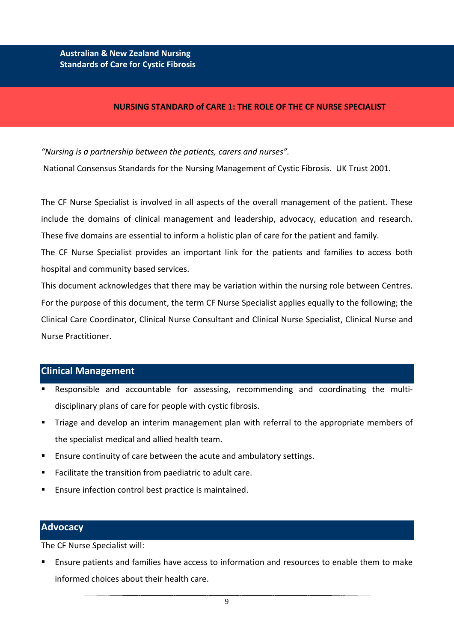#### **NURSING STANDARD of CARE 1: THE ROLE OF THE CF NURSE SPECIALIST**

*"Nursing is a partnership between the patients, carers and nurses".*

National Consensus Standards for the Nursing Management of Cystic Fibrosis. UK Trust 2001.

The CF Nurse Specialist is involved in all aspects of the overall management of the patient. These include the domains of clinical management and leadership, advocacy, education and research. These five domains are essential to inform a holistic plan of care for the patient and family.

The CF Nurse Specialist provides an important link for the patients and families to access both hospital and community based services.

This document acknowledges that there may be variation within the nursing role between Centres. For the purpose of this document, the term CF Nurse Specialist applies equally to the following; the Clinical Care Coordinator, Clinical Nurse Consultant and Clinical Nurse Specialist, Clinical Nurse and Nurse Practitioner.

#### **Clinical Management**

- Responsible and accountable for assessing, recommending and coordinating the multidisciplinary plans of care for people with cystic fibrosis.
- Triage and develop an interim management plan with referral to the appropriate members of the specialist medical and allied health team.
- Ensure continuity of care between the acute and ambulatory settings.
- Facilitate the transition from paediatric to adult care.
- Ensure infection control best practice is maintained.

#### **Advocacy**

The CF Nurse Specialist will:

 Ensure patients and families have access to information and resources to enable them to make informed choices about their health care.

9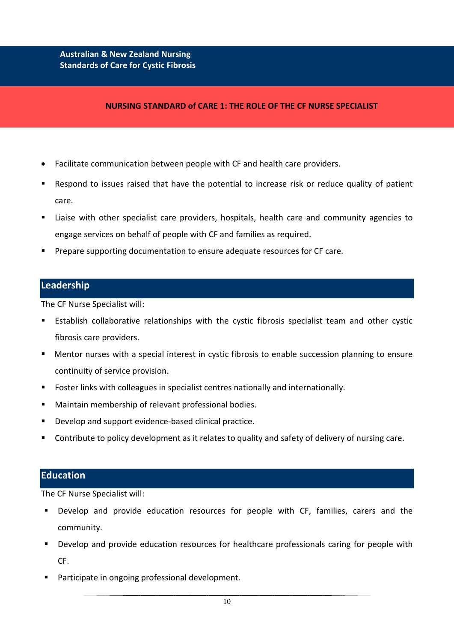#### **NURSING STANDARD of CARE 1: THE ROLE OF THE CF NURSE SPECIALIST**

- Facilitate communication between people with CF and health care providers.
- Respond to issues raised that have the potential to increase risk or reduce quality of patient care.
- Liaise with other specialist care providers, hospitals, health care and community agencies to engage services on behalf of people with CF and families as required.
- Prepare supporting documentation to ensure adequate resources for CF care.

#### **Leadership**

The CF Nurse Specialist will:

- Establish collaborative relationships with the cystic fibrosis specialist team and other cystic fibrosis care providers.
- Mentor nurses with a special interest in cystic fibrosis to enable succession planning to ensure continuity of service provision.
- Foster links with colleagues in specialist centres nationally and internationally.
- Maintain membership of relevant professional bodies.
- Develop and support evidence-based clinical practice.
- Contribute to policy development as it relates to quality and safety of delivery of nursing care.

## **Education**

The CF Nurse Specialist will:

- Develop and provide education resources for people with CF, families, carers and the community.
- **Develop and provide education resources for healthcare professionals caring for people with** CF.
- **Participate in ongoing professional development.**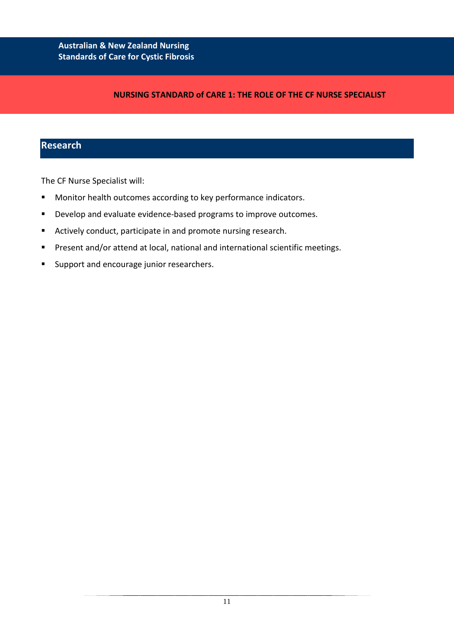## **NURSING STANDARD of CARE 1: THE ROLE OF THE CF NURSE SPECIALIST**

## **Research**

The CF Nurse Specialist will:

- **Monitor health outcomes according to key performance indicators.**
- **•** Develop and evaluate evidence-based programs to improve outcomes.
- Actively conduct, participate in and promote nursing research.
- **Present and/or attend at local, national and international scientific meetings.**
- **Support and encourage junior researchers.**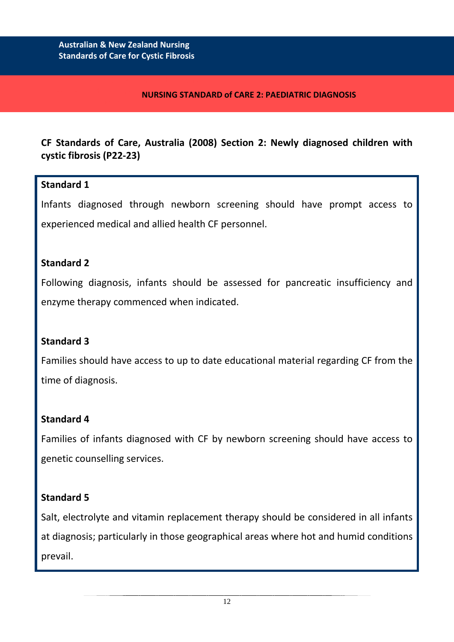**& New Zealand Nursing** 

## **NURSING STANDARD of CARE 2: PAEDIATRIC DIAGNOSIS**

# **CF Standards of Care, Australia (2008) Section 2: Newly diagnosed children with cystic fibrosis (P22-23)**

## **Standard 1**

Infants diagnosed through newborn screening should have prompt access to experienced medical and allied health CF personnel.

## **Standard 2**

Following diagnosis, infants should be assessed for pancreatic insufficiency and enzyme therapy commenced when indicated.

# **Standard 3**

Families should have access to up to date educational material regarding CF from the time of diagnosis.

# **Standard 4**

Families of infants diagnosed with CF by newborn screening should have access to genetic counselling services.

## **Standard 5**

Salt, electrolyte and vitamin replacement therapy should be considered in all infants at diagnosis; particularly in those geographical areas where hot and humid conditions prevail.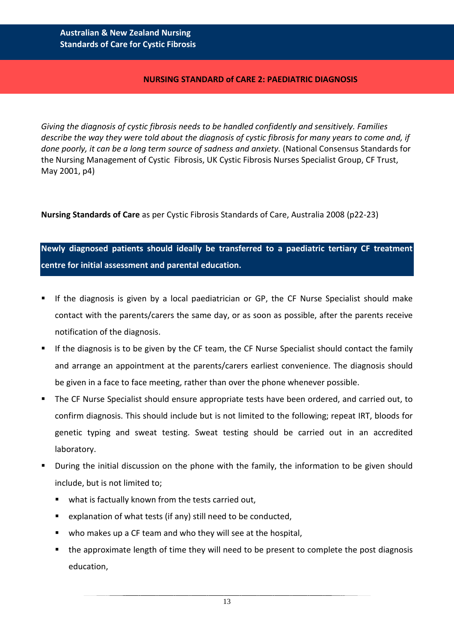## **NURSING STANDARD of CARE 2: PAEDIATRIC DIAGNOSIS**

*Giving the diagnosis of cystic fibrosis needs to be handled confidently and sensitively. Families describe the way they were told about the diagnosis of cystic fibrosis for many years to come and, if*  done poorly, it can be a long term source of sadness and anxiety. (National Consensus Standards for the Nursing Management of Cystic Fibrosis, UK Cystic Fibrosis Nurses Specialist Group, CF Trust, May 2001, p4)

**Nursing Standards of Care** as per Cystic Fibrosis Standards of Care, Australia 2008 (p22-23)

**Newly diagnosed patients should ideally be transferred to a paediatric tertiary CF treatment centre for initial assessment and parental education.**

- If the diagnosis is given by a local paediatrician or GP, the CF Nurse Specialist should make contact with the parents/carers the same day, or as soon as possible, after the parents receive notification of the diagnosis.
- If the diagnosis is to be given by the CF team, the CF Nurse Specialist should contact the family and arrange an appointment at the parents/carers earliest convenience. The diagnosis should be given in a face to face meeting, rather than over the phone whenever possible.
- The CF Nurse Specialist should ensure appropriate tests have been ordered, and carried out, to confirm diagnosis. This should include but is not limited to the following; repeat IRT, bloods for genetic typing and sweat testing. Sweat testing should be carried out in an accredited laboratory.
- During the initial discussion on the phone with the family, the information to be given should include, but is not limited to;
	- what is factually known from the tests carried out,
	- **E** explanation of what tests (if any) still need to be conducted,
	- who makes up a CF team and who they will see at the hospital,
	- the approximate length of time they will need to be present to complete the post diagnosis education,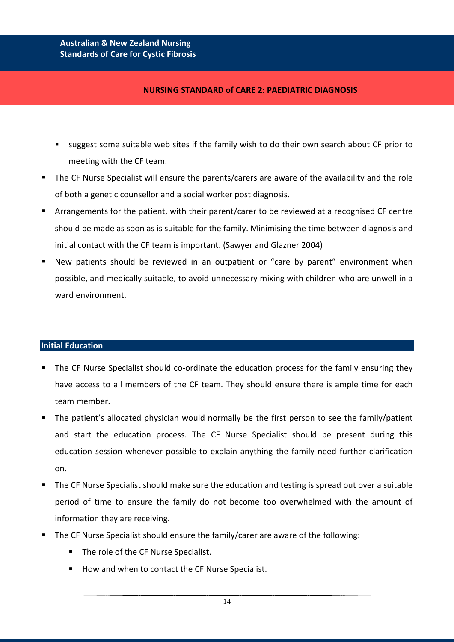# **Answer and Standards of Care for Cystic Fibrosis Standards of Care for Cystic Fibrosis Australian & New Zealand Nursing**

## **NURSING STANDARD of CARE 2: PAEDIATRIC DIAGNOSIS**

- suggest some suitable web sites if the family wish to do their own search about CF prior to meeting with the CF team.
- The CF Nurse Specialist will ensure the parents/carers are aware of the availability and the role of both a genetic counsellor and a social worker post diagnosis.
- Arrangements for the patient, with their parent/carer to be reviewed at a recognised CF centre should be made as soon as is suitable for the family. Minimising the time between diagnosis and initial contact with the CF team is important. (Sawyer and Glazner 2004)
- New patients should be reviewed in an outpatient or "care by parent" environment when possible, and medically suitable, to avoid unnecessary mixing with children who are unwell in a ward environment.

## **Initial Education**

- The CF Nurse Specialist should co-ordinate the education process for the family ensuring they have access to all members of the CF team. They should ensure there is ample time for each team member.
- The patient's allocated physician would normally be the first person to see the family/patient and start the education process. The CF Nurse Specialist should be present during this education session whenever possible to explain anything the family need further clarification on.
- The CF Nurse Specialist should make sure the education and testing is spread out over a suitable period of time to ensure the family do not become too overwhelmed with the amount of information they are receiving.
- The CF Nurse Specialist should ensure the family/carer are aware of the following:
	- The role of the CF Nurse Specialist.
	- How and when to contact the CF Nurse Specialist.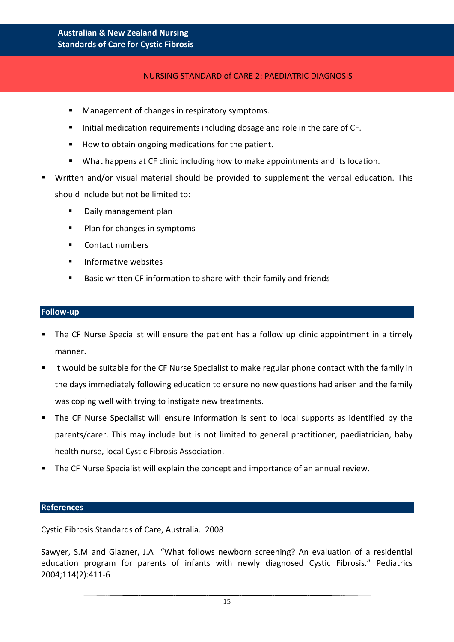## NURSING STANDARD of CARE 2: PAEDIATRIC DIAGNOSIS

- **Management of changes in respiratory symptoms.**
- Initial medication requirements including dosage and role in the care of CF.
- How to obtain ongoing medications for the patient.
- **What happens at CF clinic including how to make appointments and its location.**
- Written and/or visual material should be provided to supplement the verbal education. This should include but not be limited to:
	- Daily management plan
	- Plan for changes in symptoms
	- Contact numbers
	- **Informative websites**
	- Basic written CF information to share with their family and friends

#### **Follow-up**

- The CF Nurse Specialist will ensure the patient has a follow up clinic appointment in a timely manner.
- It would be suitable for the CF Nurse Specialist to make regular phone contact with the family in the days immediately following education to ensure no new questions had arisen and the family was coping well with trying to instigate new treatments.
- The CF Nurse Specialist will ensure information is sent to local supports as identified by the parents/carer. This may include but is not limited to general practitioner, paediatrician, baby health nurse, local Cystic Fibrosis Association.
- The CF Nurse Specialist will explain the concept and importance of an annual review.

#### **References**

Cystic Fibrosis Standards of Care, Australia. 2008

Sawyer, S.M and Glazner, J.A "What follows newborn screening? An evaluation of a residential education program for parents of infants with newly diagnosed Cystic Fibrosis." Pediatrics 2004;114(2):411-6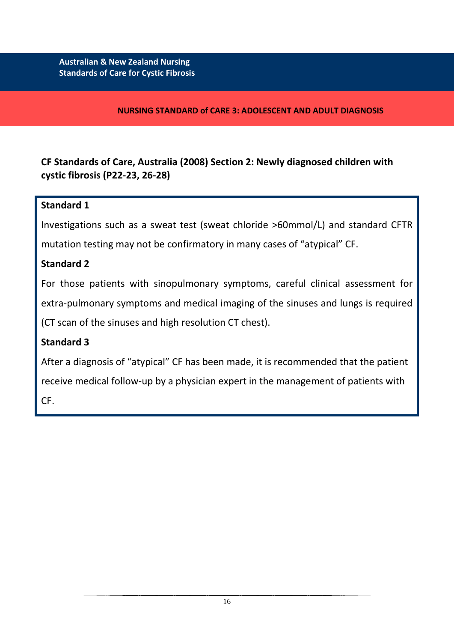## **NURSING STANDARD of CARE 3: ADOLESCENT AND ADULT DIAGNOSIS**

**CF Standards of Care, Australia (2008) Section 2: Newly diagnosed children with cystic fibrosis (P22-23, 26-28)**

## **Standard 1**

Investigations such as a sweat test (sweat chloride >60mmol/L) and standard CFTR mutation testing may not be confirmatory in many cases of "atypical" CF.

# **Standard 2**

For those patients with sinopulmonary symptoms, careful clinical assessment for extra-pulmonary symptoms and medical imaging of the sinuses and lungs is required (CT scan of the sinuses and high resolution CT chest).

# **Standard 3**

After a diagnosis of "atypical" CF has been made, it is recommended that the patient receive medical follow-up by a physician expert in the management of patients with CF.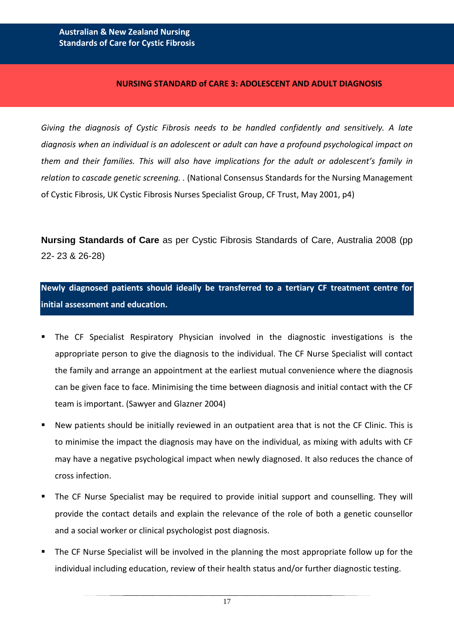#### **NURSING STANDARD of CARE 3: ADOLESCENT AND ADULT DIAGNOSIS**

*Giving the diagnosis of Cystic Fibrosis needs to be handled confidently and sensitively. A late diagnosis when an individual is an adolescent or adult can have a profound psychological impact on them and their families. This will also have implications for the adult or adolescent's family in relation to cascade genetic screening. .* (National Consensus Standards for the Nursing Management of Cystic Fibrosis, UK Cystic Fibrosis Nurses Specialist Group, CF Trust, May 2001, p4)

**Nursing Standards of Care** as per Cystic Fibrosis Standards of Care, Australia 2008 (pp 22- 23 & 26-28)

**Newly diagnosed patients should ideally be transferred to a tertiary CF treatment centre for initial assessment and education.**

- The CF Specialist Respiratory Physician involved in the diagnostic investigations is the appropriate person to give the diagnosis to the individual. The CF Nurse Specialist will contact the family and arrange an appointment at the earliest mutual convenience where the diagnosis can be given face to face. Minimising the time between diagnosis and initial contact with the CF team is important. (Sawyer and Glazner 2004)
- New patients should be initially reviewed in an outpatient area that is not the CF Clinic. This is to minimise the impact the diagnosis may have on the individual, as mixing with adults with CF may have a negative psychological impact when newly diagnosed. It also reduces the chance of cross infection.
- The CF Nurse Specialist may be required to provide initial support and counselling. They will provide the contact details and explain the relevance of the role of both a genetic counsellor and a social worker or clinical psychologist post diagnosis.
- The CF Nurse Specialist will be involved in the planning the most appropriate follow up for the individual including education, review of their health status and/or further diagnostic testing.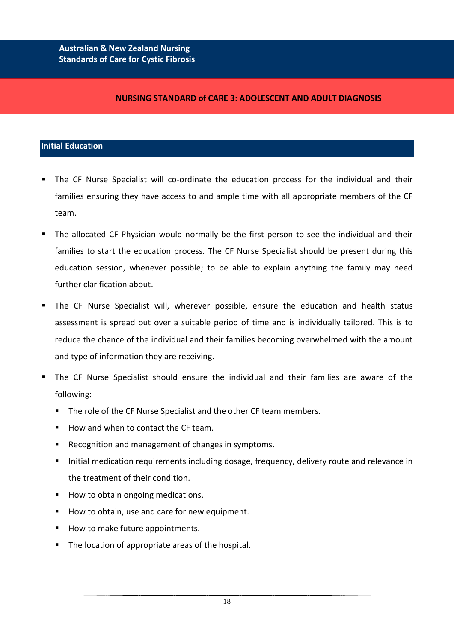#### **NURSING STANDARD of CARE 3: ADOLESCENT AND ADULT DIAGNOSIS**

## **Initial Education**

- The CF Nurse Specialist will co-ordinate the education process for the individual and their families ensuring they have access to and ample time with all appropriate members of the CF team.
- The allocated CF Physician would normally be the first person to see the individual and their families to start the education process. The CF Nurse Specialist should be present during this education session, whenever possible; to be able to explain anything the family may need further clarification about.
- The CF Nurse Specialist will, wherever possible, ensure the education and health status assessment is spread out over a suitable period of time and is individually tailored. This is to reduce the chance of the individual and their families becoming overwhelmed with the amount and type of information they are receiving.
- The CF Nurse Specialist should ensure the individual and their families are aware of the following:
	- **The role of the CF Nurse Specialist and the other CF team members.**
	- $\blacksquare$  How and when to contact the CF team.
	- **Recognition and management of changes in symptoms.**
	- Initial medication requirements including dosage, frequency, delivery route and relevance in the treatment of their condition.
	- How to obtain ongoing medications.
	- How to obtain, use and care for new equipment.
	- How to make future appointments.
	- **The location of appropriate areas of the hospital.**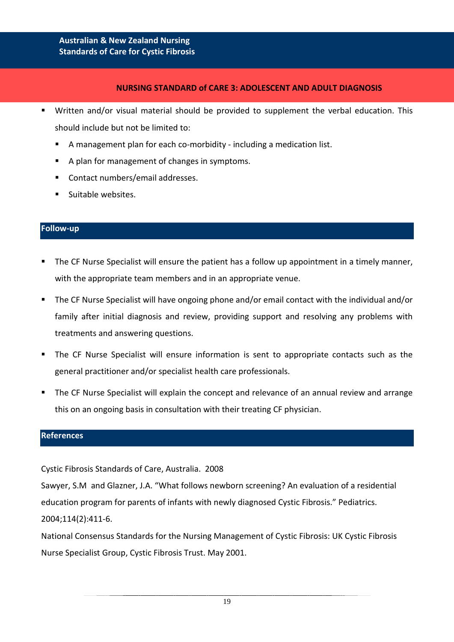#### **NURSING STANDARD of CARE 3: ADOLESCENT AND ADULT DIAGNOSIS**

- Written and/or visual material should be provided to supplement the verbal education. This should include but not be limited to:
	- A management plan for each co-morbidity including a medication list.
	- A plan for management of changes in symptoms.
	- Contact numbers/email addresses.
	- **Suitable websites.**

#### **Follow-up**

- The CF Nurse Specialist will ensure the patient has a follow up appointment in a timely manner, with the appropriate team members and in an appropriate venue.
- The CF Nurse Specialist will have ongoing phone and/or email contact with the individual and/or family after initial diagnosis and review, providing support and resolving any problems with treatments and answering questions.
- The CF Nurse Specialist will ensure information is sent to appropriate contacts such as the general practitioner and/or specialist health care professionals.
- The CF Nurse Specialist will explain the concept and relevance of an annual review and arrange this on an ongoing basis in consultation with their treating CF physician.

#### **References**

Cystic Fibrosis Standards of Care, Australia. 2008

Sawyer, S.M and Glazner, J.A. "What follows newborn screening? An evaluation of a residential education program for parents of infants with newly diagnosed Cystic Fibrosis." Pediatrics. 2004;114(2):411-6.

National Consensus Standards for the Nursing Management of Cystic Fibrosis: UK Cystic Fibrosis Nurse Specialist Group, Cystic Fibrosis Trust. May 2001.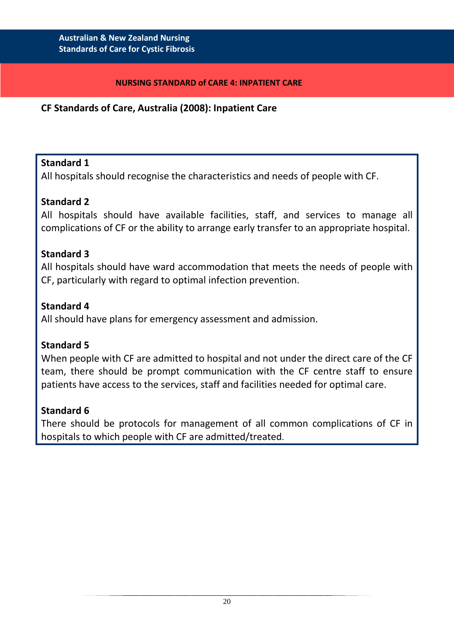## **NURSING STANDARD of CARE 4: INPATIENT CARE**

# **CF Standards of Care, Australia (2008): Inpatient Care**

# **Standard 1**

All hospitals should recognise the characteristics and needs of people with CF.

# **Standard 2**

All hospitals should have available facilities, staff, and services to manage all complications of CF or the ability to arrange early transfer to an appropriate hospital.

# **Standard 3**

All hospitals should have ward accommodation that meets the needs of people with CF, particularly with regard to optimal infection prevention.

# **Standard 4**

All should have plans for emergency assessment and admission.

# **Standard 5**

When people with CF are admitted to hospital and not under the direct care of the CF team, there should be prompt communication with the CF centre staff to ensure patients have access to the services, staff and facilities needed for optimal care.

# **Standard 6**

There should be protocols for management of all common complications of CF in hospitals to which people with CF are admitted/treated.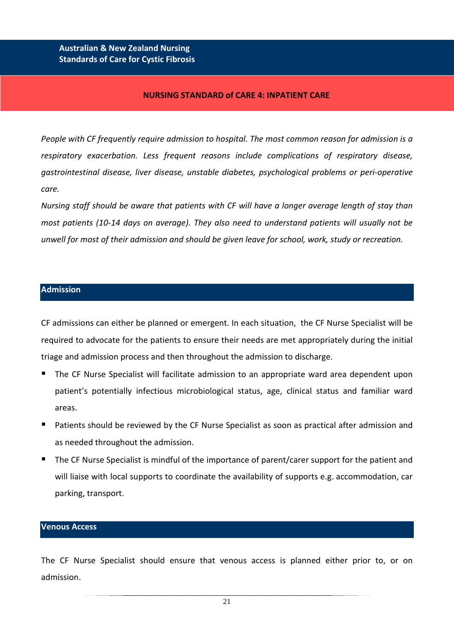#### **NURSING STANDARD of CARE 4: INPATIENT CARE**

*People with CF frequently require admission to hospital. The most common reason for admission is a respiratory exacerbation. Less frequent reasons include complications of respiratory disease, gastrointestinal disease, liver disease, unstable diabetes, psychological problems or peri-operative care.*

*Nursing staff should be aware that patients with CF will have a longer average length of stay than most patients (10-14 days on average). They also need to understand patients will usually not be unwell for most of their admission and should be given leave for school, work, study or recreation.*

#### **Admission**

CF admissions can either be planned or emergent. In each situation, the CF Nurse Specialist will be required to advocate for the patients to ensure their needs are met appropriately during the initial triage and admission process and then throughout the admission to discharge.

- The CF Nurse Specialist will facilitate admission to an appropriate ward area dependent upon patient's potentially infectious microbiological status, age, clinical status and familiar ward areas.
- Patients should be reviewed by the CF Nurse Specialist as soon as practical after admission and as needed throughout the admission.
- The CF Nurse Specialist is mindful of the importance of parent/carer support for the patient and will liaise with local supports to coordinate the availability of supports e.g. accommodation, car parking, transport.

#### **Venous Access**

The CF Nurse Specialist should ensure that venous access is planned either prior to, or on admission.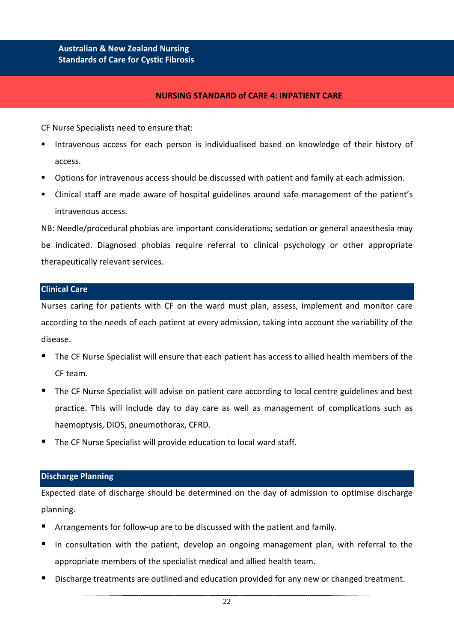#### **NURSING STANDARD of CARE 4: INPATIENT CARE**

CF Nurse Specialists need to ensure that:

- Intravenous access for each person is individualised based on knowledge of their history of access.
- Options for intravenous access should be discussed with patient and family at each admission.
- Clinical staff are made aware of hospital guidelines around safe management of the patient's intravenous access.

NB: Needle/procedural phobias are important considerations; sedation or general anaesthesia may be indicated. Diagnosed phobias require referral to clinical psychology or other appropriate therapeutically relevant services.

#### **Clinical Care**

Nurses caring for patients with CF on the ward must plan, assess, implement and monitor care according to the needs of each patient at every admission, taking into account the variability of the disease.

- The CF Nurse Specialist will ensure that each patient has access to allied health members of the CF team.
- The CF Nurse Specialist will advise on patient care according to local centre guidelines and best practice. This will include day to day care as well as management of complications such as haemoptysis, DIOS, pneumothorax, CFRD.
- The CF Nurse Specialist will provide education to local ward staff.

#### **Discharge Planning**

Expected date of discharge should be determined on the day of admission to optimise discharge planning.

- Arrangements for follow-up are to be discussed with the patient and family.
- In consultation with the patient, develop an ongoing management plan, with referral to the appropriate members of the specialist medical and allied health team.
- Discharge treatments are outlined and education provided for any new or changed treatment.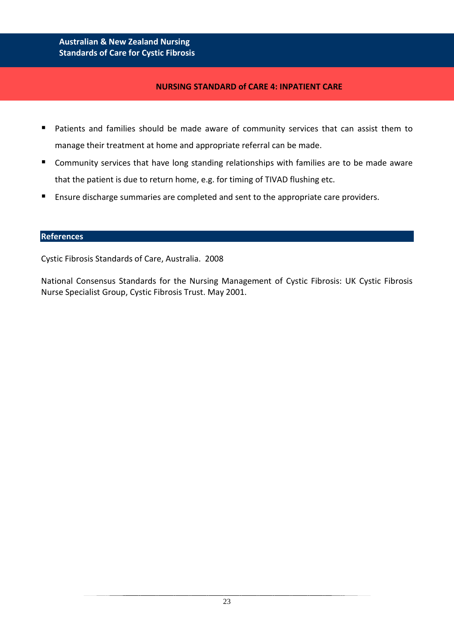## **NURSING STANDARD of CARE 4: INPATIENT CARE**

- **Patients and families should be made aware of community services that can assist them to** manage their treatment at home and appropriate referral can be made.
- **E** Community services that have long standing relationships with families are to be made aware that the patient is due to return home, e.g. for timing of TIVAD flushing etc.
- **Ensure discharge summaries are completed and sent to the appropriate care providers.**

#### **References**

Cystic Fibrosis Standards of Care, Australia. 2008

National Consensus Standards for the Nursing Management of Cystic Fibrosis: UK Cystic Fibrosis Nurse Specialist Group, Cystic Fibrosis Trust. May 2001.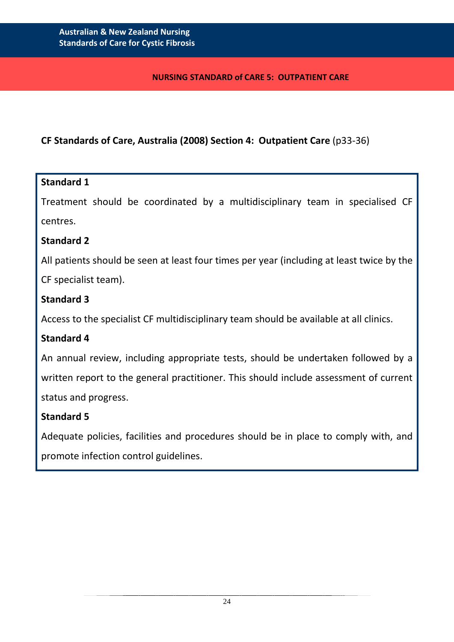## **NURSING STANDARD of CARE 5: OUTPATIENT CARE**

# **CF Standards of Care, Australia (2008) Section 4: Outpatient Care** (p33-36)

## **Standard 1**

Treatment should be coordinated by a multidisciplinary team in specialised CF centres.

## **Standard 2**

All patients should be seen at least four times per year (including at least twice by the

CF specialist team).

# **Standard 3**

Access to the specialist CF multidisciplinary team should be available at all clinics.

# **Standard 4**

An annual review, including appropriate tests, should be undertaken followed by a written report to the general practitioner. This should include assessment of current status and progress.

# **Standard 5**

Adequate policies, facilities and procedures should be in place to comply with, and promote infection control guidelines.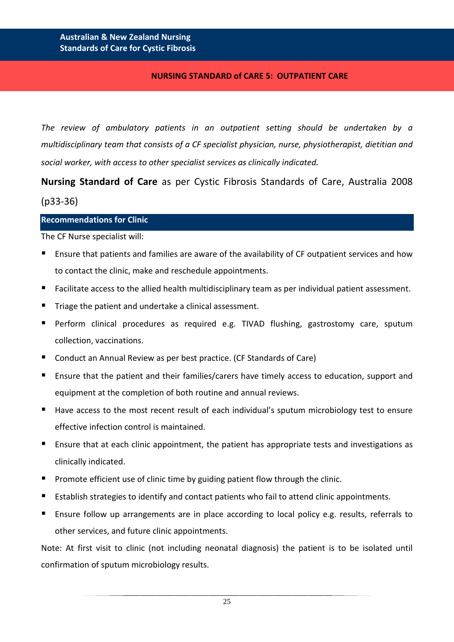## **NURSING STANDARD of CARE 5: OUTPATIENT CARE**

*The review of ambulatory patients in an outpatient setting should be undertaken by a multidisciplinary team that consists of a CF specialist physician, nurse, physiotherapist, dietitian and social worker, with access to other specialist services as clinically indicated.*

**Nursing Standard of Care** as per Cystic Fibrosis Standards of Care, Australia 2008 (p33-36)

#### **Recommendations for Clinic**

The CF Nurse specialist will:

- Ensure that patients and families are aware of the availability of CF outpatient services and how to contact the clinic, make and reschedule appointments.
- Facilitate access to the allied health multidisciplinary team as per individual patient assessment.
- **Triage the patient and undertake a clinical assessment.**
- **Perform clinical procedures as required e.g. TIVAD flushing, gastrostomy care, sputum** collection, vaccinations.
- Conduct an Annual Review as per best practice. (CF Standards of Care)
- **Ensure that the patient and their families/carers have timely access to education, support and** equipment at the completion of both routine and annual reviews.
- Have access to the most recent result of each individual's sputum microbiology test to ensure effective infection control is maintained.
- Ensure that at each clinic appointment, the patient has appropriate tests and investigations as clinically indicated.
- **Promote efficient use of clinic time by guiding patient flow through the clinic.**
- Establish strategies to identify and contact patients who fail to attend clinic appointments.
- Ensure follow up arrangements are in place according to local policy e.g. results, referrals to other services, and future clinic appointments.

Note: At first visit to clinic (not including neonatal diagnosis) the patient is to be isolated until confirmation of sputum microbiology results.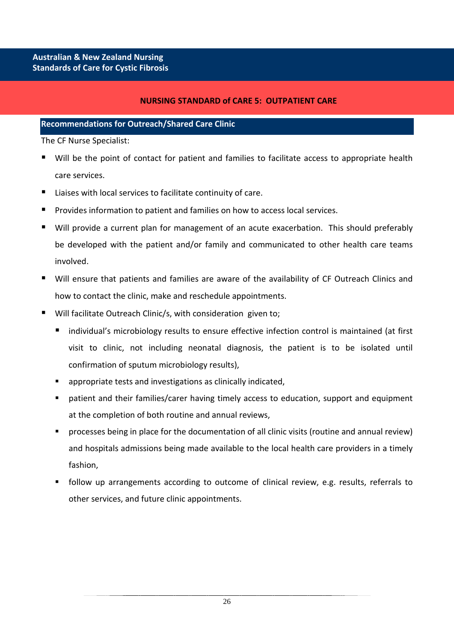## **NURSING STANDARD of CARE 5: OUTPATIENT CARE**

#### **Recommendations for Outreach/Shared Care Clinic**

The CF Nurse Specialist:

- Will be the point of contact for patient and families to facilitate access to appropriate health care services.
- Liaises with local services to facilitate continuity of care.
- Provides information to patient and families on how to access local services.
- Will provide a current plan for management of an acute exacerbation. This should preferably be developed with the patient and/or family and communicated to other health care teams involved.
- Will ensure that patients and families are aware of the availability of CF Outreach Clinics and how to contact the clinic, make and reschedule appointments.
- Will facilitate Outreach Clinic/s, with consideration given to;
	- individual's microbiology results to ensure effective infection control is maintained (at first visit to clinic, not including neonatal diagnosis, the patient is to be isolated until confirmation of sputum microbiology results),
	- appropriate tests and investigations as clinically indicated,
	- patient and their families/carer having timely access to education, support and equipment at the completion of both routine and annual reviews,
	- processes being in place for the documentation of all clinic visits (routine and annual review) and hospitals admissions being made available to the local health care providers in a timely fashion,
	- follow up arrangements according to outcome of clinical review, e.g. results, referrals to other services, and future clinic appointments.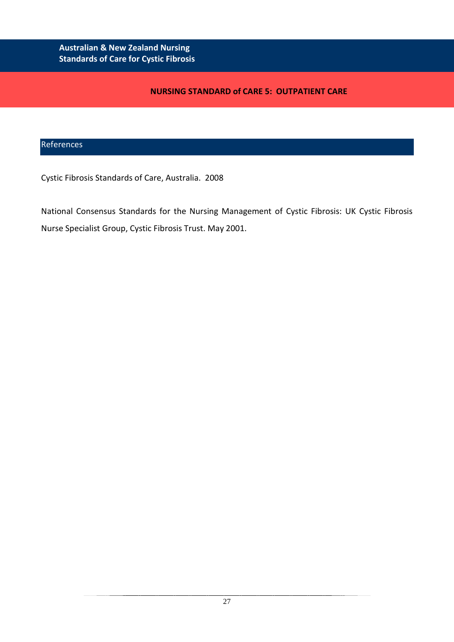## **NURSING STANDARD of CARE 5: OUTPATIENT CARE**

## References

Cystic Fibrosis Standards of Care, Australia. 2008

National Consensus Standards for the Nursing Management of Cystic Fibrosis: UK Cystic Fibrosis Nurse Specialist Group, Cystic Fibrosis Trust. May 2001.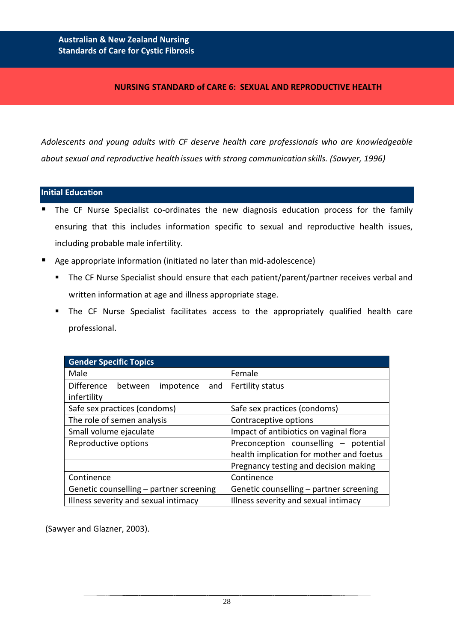## **NURSING STANDARD of CARE 6: SEXUAL AND REPRODUCTIVE HEALTH**

*Adolescents and young adults with CF deserve health care professionals who are knowledgeable about sexual and reproductive health issues with strong communication skills. (Sawyer, 1996)*

#### **Initial Education**

- The CF Nurse Specialist co-ordinates the new diagnosis education process for the family ensuring that this includes information specific to sexual and reproductive health issues, including probable male infertility.
- Age appropriate information (initiated no later than mid-adolescence)
	- **The CF Nurse Specialist should ensure that each patient/parent/partner receives verbal and** written information at age and illness appropriate stage.
	- The CF Nurse Specialist facilitates access to the appropriately qualified health care professional.

| <b>Gender Specific Topics</b>                                   |                                                                                   |  |
|-----------------------------------------------------------------|-----------------------------------------------------------------------------------|--|
| Male                                                            | Female                                                                            |  |
| <b>Difference</b><br>impotence<br>between<br>and<br>infertility | Fertility status                                                                  |  |
| Safe sex practices (condoms)                                    | Safe sex practices (condoms)                                                      |  |
| The role of semen analysis                                      | Contraceptive options                                                             |  |
| Small volume ejaculate                                          | Impact of antibiotics on vaginal flora                                            |  |
| Reproductive options                                            | Preconception counselling - potential<br>health implication for mother and foetus |  |
|                                                                 | Pregnancy testing and decision making                                             |  |
| Continence                                                      | Continence                                                                        |  |
| Genetic counselling - partner screening                         | Genetic counselling – partner screening                                           |  |
| Illness severity and sexual intimacy                            | Illness severity and sexual intimacy                                              |  |

(Sawyer and Glazner, 2003).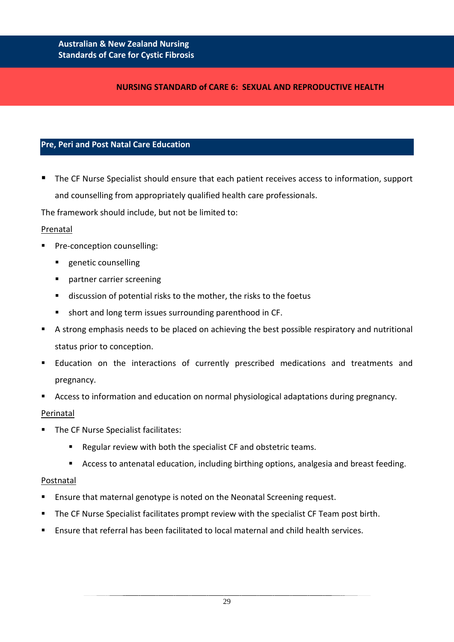## **NURSING STANDARD of CARE 6: SEXUAL AND REPRODUCTIVE HEALTH**

## **Pre, Peri and Post Natal Care Education**

 The CF Nurse Specialist should ensure that each patient receives access to information, support and counselling from appropriately qualified health care professionals.

The framework should include, but not be limited to:

#### Prenatal

- Pre-conception counselling:
	- **EXECUTE:** genetic counselling
	- **Partner carrier screening**
	- discussion of potential risks to the mother, the risks to the foetus
	- short and long term issues surrounding parenthood in CF.
- A strong emphasis needs to be placed on achieving the best possible respiratory and nutritional status prior to conception.
- Education on the interactions of currently prescribed medications and treatments and pregnancy.
- Access to information and education on normal physiological adaptations during pregnancy.

## Perinatal

- The CF Nurse Specialist facilitates:
	- Regular review with both the specialist CF and obstetric teams.
	- Access to antenatal education, including birthing options, analgesia and breast feeding.

#### Postnatal

- **Ensure that maternal genotype is noted on the Neonatal Screening request.**
- **The CF Nurse Specialist facilitates prompt review with the specialist CF Team post birth.**
- Ensure that referral has been facilitated to local maternal and child health services.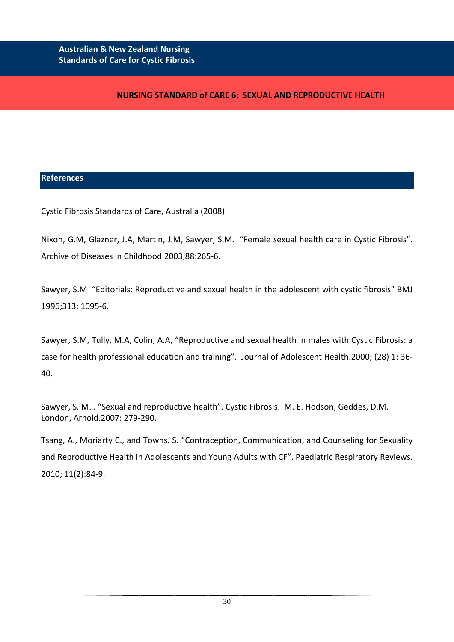## **NURSING STANDARD of CARE 6: SEXUAL AND REPRODUCTIVE HEALTH**

#### **References**

Cystic Fibrosis Standards of Care, Australia (2008).

Nixon, G.M, Glazner, J.A, Martin, J.M, Sawyer, S.M. "Female sexual health care in Cystic Fibrosis". Archive of Diseases in Childhood.2003;88:265-6.

Sawyer, S.M "Editorials: Reproductive and sexual health in the adolescent with cystic fibrosis" BMJ 1996;313: 1095-6.

Sawyer, S.M, Tully, M.A, Colin, A.A, "Reproductive and sexual health in males with Cystic Fibrosis: a case for health professional education and training". Journal of Adolescent Health.2000; (28) 1: 36- 40.

Sawyer, S. M. . "Sexual and reproductive health". Cystic Fibrosis. M. E. Hodson, Geddes, D.M. London, Arnold.2007: 279-290.

Tsang, A., Moriarty C., and Towns. S. "Contraception, Communication, and Counseling for Sexuality and Reproductive Health in Adolescents and Young Adults with CF". Paediatric Respiratory Reviews. 2010; 11(2):84-9.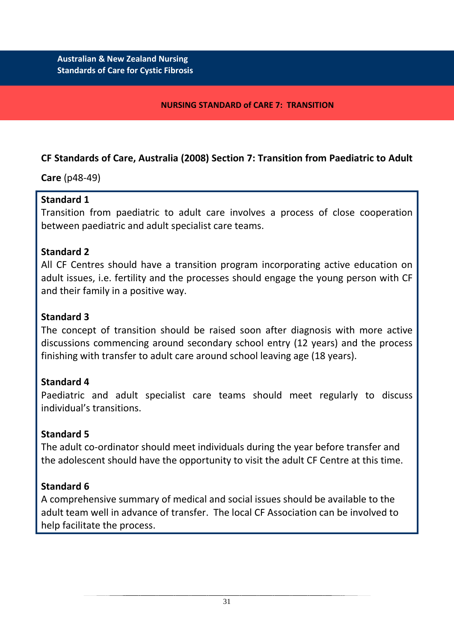## **NURSING STANDARD of CARE 7: TRANSITION**

# **CF Standards of Care, Australia (2008) Section 7: Transition from Paediatric to Adult**

**Care** (p48-49)

# **Standard 1**

Transition from paediatric to adult care involves a process of close cooperation between paediatric and adult specialist care teams.

# **Standard 2**

All CF Centres should have a transition program incorporating active education on adult issues, i.e. fertility and the processes should engage the young person with CF and their family in a positive way.

# **Standard 3**

The concept of transition should be raised soon after diagnosis with more active discussions commencing around secondary school entry (12 years) and the process finishing with transfer to adult care around school leaving age (18 years).

# **Standard 4**

Paediatric and adult specialist care teams should meet regularly to discuss individual's transitions.

# **Standard 5**

The adult co-ordinator should meet individuals during the year before transfer and the adolescent should have the opportunity to visit the adult CF Centre at this time.

# **Standard 6**

A comprehensive summary of medical and social issues should be available to the adult team well in advance of transfer. The local CF Association can be involved to help facilitate the process.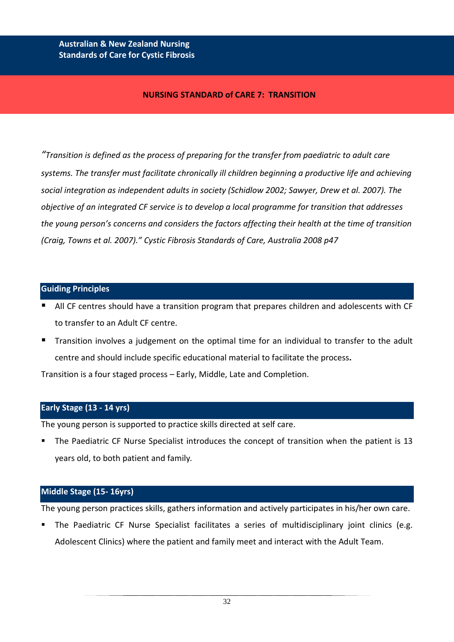#### **NURSING STANDARD of CARE 7: TRANSITION**

*"Transition is defined as the process of preparing for the transfer from paediatric to adult care systems. The transfer must facilitate chronically ill children beginning a productive life and achieving social integration as independent adults in society (Schidlow 2002; Sawyer, Drew et al. 2007). The objective of an integrated CF service is to develop a local programme for transition that addresses the young person's concerns and considers the factors affecting their health at the time of transition (Craig, Towns et al. 2007)." Cystic Fibrosis Standards of Care, Australia 2008 p47*

#### **Guiding Principles**

- All CF centres should have a transition program that prepares children and adolescents with CF to transfer to an Adult CF centre.
- Transition involves a judgement on the optimal time for an individual to transfer to the adult centre and should include specific educational material to facilitate the process**.**

Transition is a four staged process – Early, Middle, Late and Completion.

#### **Early Stage (13 - 14 yrs)**

The young person is supported to practice skills directed at self care.

 The Paediatric CF Nurse Specialist introduces the concept of transition when the patient is 13 years old, to both patient and family*.* 

#### **Middle Stage (15- 16yrs)**

The young person practices skills, gathers information and actively participates in his/her own care.

 The Paediatric CF Nurse Specialist facilitates a series of multidisciplinary joint clinics (e.g. Adolescent Clinics) where the patient and family meet and interact with the Adult Team.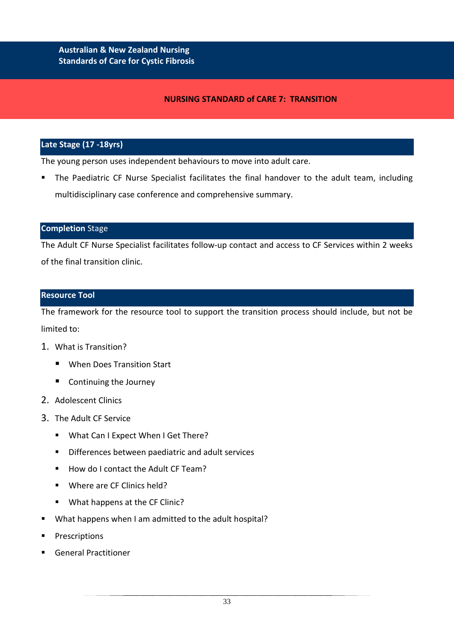#### **NURSING STANDARD of CARE 7: TRANSITION**

## **Late Stage (17 -18yrs)**

The young person uses independent behaviours to move into adult care.

 The Paediatric CF Nurse Specialist facilitates the final handover to the adult team, including multidisciplinary case conference and comprehensive summary.

#### **Completion** Stage

The Adult CF Nurse Specialist facilitates follow-up contact and access to CF Services within 2 weeks of the final transition clinic.

#### **Resource Tool**

The framework for the resource tool to support the transition process should include, but not be limited to:

- 1. What is Transition?
	- When Does Transition Start
	- Continuing the Journey
- 2. Adolescent Clinics
- 3. The Adult CF Service
	- **What Can I Expect When I Get There?**
	- Differences between paediatric and adult services
	- How do I contact the Adult CF Team?
	- Where are CF Clinics held?
	- What happens at the CF Clinic?
- What happens when I am admitted to the adult hospital?
- **Prescriptions**
- General Practitioner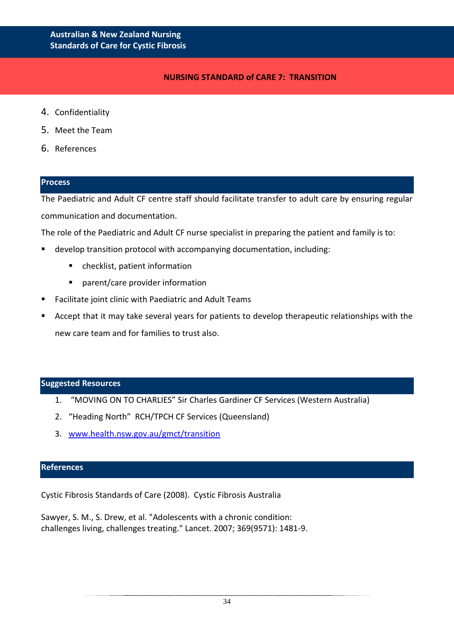## **NURSING STANDARD of CARE 7: TRANSITION**

- 4. Confidentiality
- 5. Meet the Team
- 6. References

#### **Process**

The Paediatric and Adult CF centre staff should facilitate transfer to adult care by ensuring regular communication and documentation.

The role of the Paediatric and Adult CF nurse specialist in preparing the patient and family is to:

- develop transition protocol with accompanying documentation, including:
	- checklist, patient information
	- **P** parent/care provider information
- Facilitate joint clinic with Paediatric and Adult Teams
- Accept that it may take several years for patients to develop therapeutic relationships with the new care team and for families to trust also.

#### **Suggested Resources**

- 1. "MOVING ON TO CHARLIES" Sir Charles Gardiner CF Services (Western Australia)
- 2. "Heading North" RCH/TPCH CF Services (Queensland)
- 3. [www.health.nsw.gov.au/gmct/transition](http://www.health.nsw.gov.au/gmct/transition)

#### **References**

Cystic Fibrosis Standards of Care (2008). Cystic Fibrosis Australia

Sawyer, S. M., S. Drew, et al. "Adolescents with a chronic condition: challenges living, challenges treating." Lancet. 2007; 369(9571): 1481-9.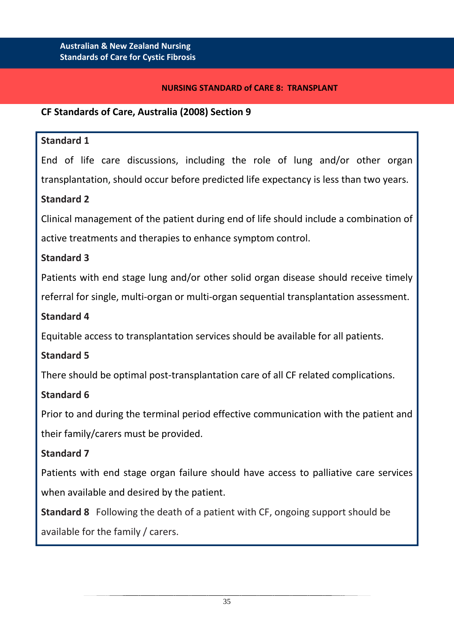## **NURSING STANDARD of CARE 8: TRANSPLANT**

## **CF Standards of Care, Australia (2008) Section 9**

## **Standard 1**

End of life care discussions, including the role of lung and/or other organ transplantation, should occur before predicted life expectancy is less than two years.

# **Standard 2**

Clinical management of the patient during end of life should include a combination of active treatments and therapies to enhance symptom control.

# **Standard 3**

Patients with end stage lung and/or other solid organ disease should receive timely referral for single, multi-organ or multi-organ sequential transplantation assessment.

## **Standard 4**

Equitable access to transplantation services should be available for all patients.

# **Standard 5**

There should be optimal post-transplantation care of all CF related complications.

# **Standard 6**

Prior to and during the terminal period effective communication with the patient and their family/carers must be provided.

# **Standard 7**

Patients with end stage organ failure should have access to palliative care services when available and desired by the patient.

**Standard 8** Following the death of a patient with CF, ongoing support should be available for the family / carers.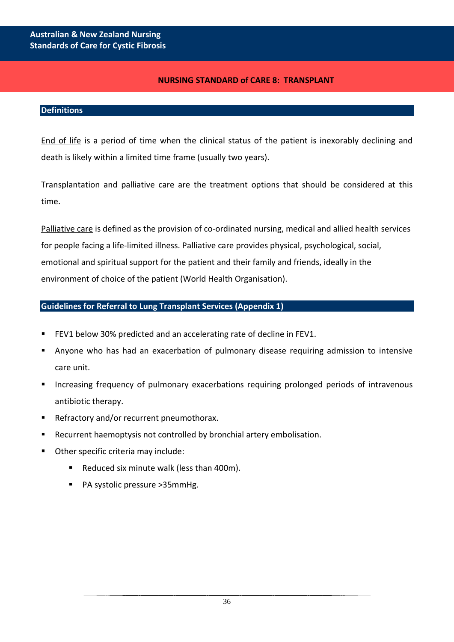## **NURSING STANDARD of CARE 8: TRANSPLANT**

#### **Definitions**

End of life is a period of time when the clinical status of the patient is inexorably declining and death is likely within a limited time frame (usually two years).

Transplantation and palliative care are the treatment options that should be considered at this time.

Palliative care is defined as the provision of co-ordinated nursing, medical and allied health services for people facing a life-limited illness. Palliative care provides physical, psychological, social, emotional and spiritual support for the patient and their family and friends, ideally in the environment of choice of the patient (World Health Organisation).

## **Guidelines for Referral to Lung Transplant Services (Appendix 1)**

- FEV1 below 30% predicted and an accelerating rate of decline in FEV1.
- Anyone who has had an exacerbation of pulmonary disease requiring admission to intensive care unit.
- Increasing frequency of pulmonary exacerbations requiring prolonged periods of intravenous antibiotic therapy.
- Refractory and/or recurrent pneumothorax.
- Recurrent haemoptysis not controlled by bronchial artery embolisation.
- Other specific criteria may include:
	- Reduced six minute walk (less than 400m).
	- PA systolic pressure >35mmHg.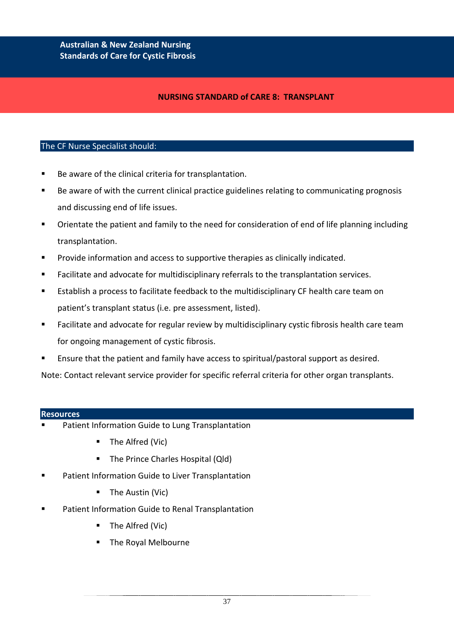### **NURSING STANDARD of CARE 8: TRANSPLANT**

#### The CF Nurse Specialist should:

- Be aware of the clinical criteria for transplantation.
- Be aware of with the current clinical practice guidelines relating to communicating prognosis and discussing end of life issues.
- Orientate the patient and family to the need for consideration of end of life planning including transplantation.
- **Provide information and access to supportive therapies as clinically indicated.**
- Facilitate and advocate for multidisciplinary referrals to the transplantation services.
- Establish a process to facilitate feedback to the multidisciplinary CF health care team on patient's transplant status (i.e. pre assessment, listed).
- **Facilitate and advocate for regular review by multidisciplinary cystic fibrosis health care team** for ongoing management of cystic fibrosis.
- Ensure that the patient and family have access to spiritual/pastoral support as desired.

Note: Contact relevant service provider for specific referral criteria for other organ transplants.

#### **Resources**

- Patient Information Guide to Lung Transplantation
	- The Alfred (Vic)
	- The Prince Charles Hospital (Qld)
- Patient Information Guide to Liver Transplantation
	- **The Austin (Vic)**
- Patient Information Guide to Renal Transplantation
	- The Alfred (Vic)
	- The Royal Melbourne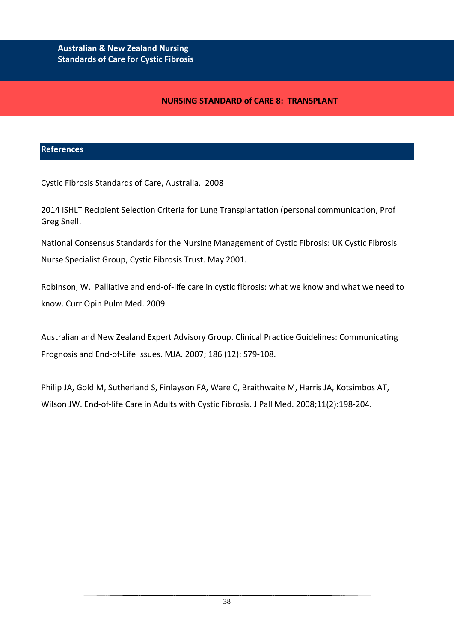## **NURSING STANDARD of CARE 8: TRANSPLANT**

### **References**

j

Cystic Fibrosis Standards of Care, Australia. 2008

2014 ISHLT Recipient Selection Criteria for Lung Transplantation (personal communication, Prof Greg Snell.

National Consensus Standards for the Nursing Management of Cystic Fibrosis: UK Cystic Fibrosis Nurse Specialist Group, Cystic Fibrosis Trust. May 2001.

Robinson, W. Palliative and end-of-life care in cystic fibrosis: what we know and what we need to know. Curr Opin Pulm Med. 2009

Australian and New Zealand Expert Advisory Group. Clinical Practice Guidelines: Communicating Prognosis and End-of-Life Issues. MJA. 2007; 186 (12): S79-108.

Philip JA, Gold M, Sutherland S, Finlayson FA, Ware C, Braithwaite M, Harris JA, Kotsimbos AT, Wilson JW. End-of-life Care in Adults with Cystic Fibrosis. J Pall Med. 2008;11(2):198-204.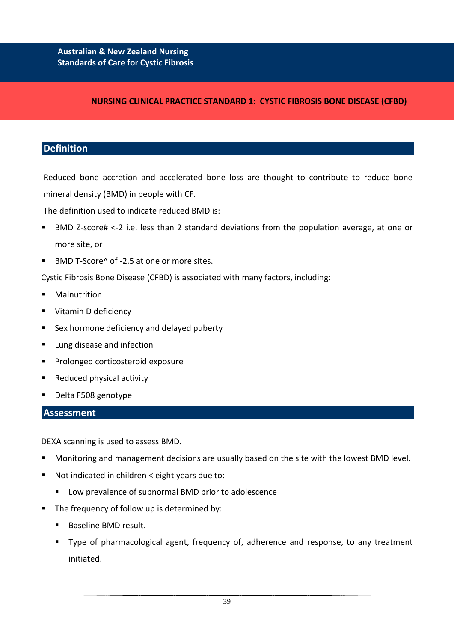#### **NURSING CLINICAL PRACTICE STANDARD 1: CYSTIC FIBROSIS BONE DISEASE (CFBD)**

### **Definition**

Reduced bone accretion and accelerated bone loss are thought to contribute to reduce bone mineral density (BMD) in people with CF.

The definition used to indicate reduced BMD is:

- BMD Z-score# <-2 i.e. less than 2 standard deviations from the population average, at one or more site, or
- BMD T-Score^ of -2.5 at one or more sites.

Cystic Fibrosis Bone Disease (CFBD) is associated with many factors, including:

- Malnutrition
- Vitamin D deficiency
- Sex hormone deficiency and delayed puberty
- **Lung disease and infection**
- **Prolonged corticosteroid exposure**
- Reduced physical activity
- Delta F508 genotype

### **Assessment**

DEXA scanning is used to assess BMD.

- Monitoring and management decisions are usually based on the site with the lowest BMD level.
- Not indicated in children < eight years due to:
	- **Low prevalence of subnormal BMD prior to adolescence**
- The frequency of follow up is determined by:
	- **Baseline BMD result.**
	- Type of pharmacological agent, frequency of, adherence and response, to any treatment initiated.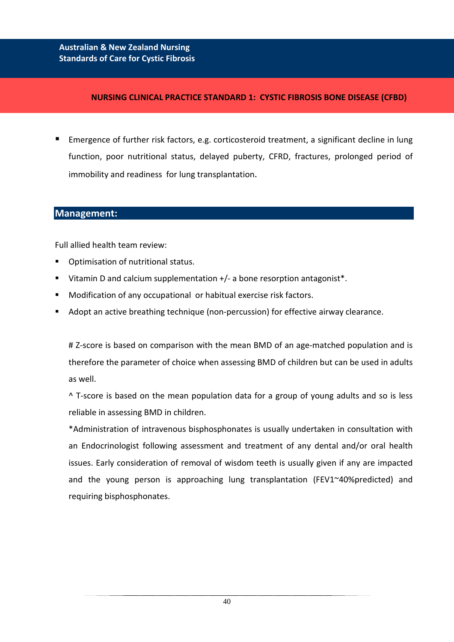### **NURSING CLINICAL PRACTICE STANDARD 1: CYSTIC FIBROSIS BONE DISEASE (CFBD)**

 Emergence of further risk factors, e.g. corticosteroid treatment, a significant decline in lung function, poor nutritional status, delayed puberty, CFRD, fractures, prolonged period of immobility and readiness for lung transplantation.

# **Management:**

Full allied health team review:

- **•** Optimisation of nutritional status.
- Vitamin D and calcium supplementation +/- a bone resorption antagonist\*.
- **Modification of any occupational or habitual exercise risk factors.**
- Adopt an active breathing technique (non-percussion) for effective airway clearance.

# Z-score is based on comparison with the mean BMD of an age-matched population and is therefore the parameter of choice when assessing BMD of children but can be used in adults as well.

^ T-score is based on the mean population data for a group of young adults and so is less reliable in assessing BMD in children.

\*Administration of intravenous bisphosphonates is usually undertaken in consultation with an Endocrinologist following assessment and treatment of any dental and/or oral health issues. Early consideration of removal of wisdom teeth is usually given if any are impacted and the young person is approaching lung transplantation (FEV1~40%predicted) and requiring bisphosphonates.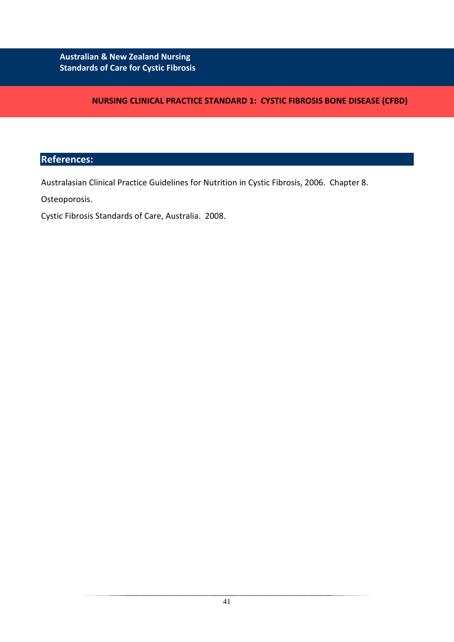**NURSING CLINICAL PRACTICE STANDARD 1: CYSTIC FIBROSIS BONE DISEASE (CFBD)**

# **References:**

Australasian Clinical Practice Guidelines for Nutrition in Cystic Fibrosis, 2006. Chapter 8.

Osteoporosis.

Cystic Fibrosis Standards of Care, Australia. 2008.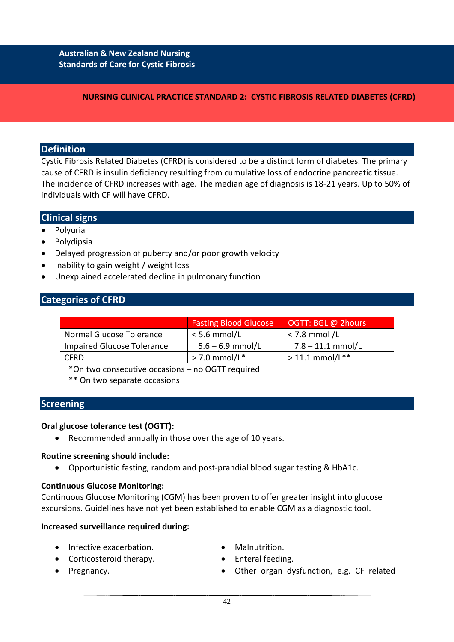### **NURSING CLINICAL PRACTICE STANDARD 2: CYSTIC FIBROSIS RELATED DIABETES (CFRD)**

## **Definition**

Cystic Fibrosis Related Diabetes (CFRD) is considered to be a distinct form of diabetes. The primary cause of CFRD is insulin deficiency resulting from cumulative loss of endocrine pancreatic tissue. The incidence of CFRD increases with age. The median age of diagnosis is 18-21 years. Up to 50% of individuals with CF will have CFRD.

## **Clinical signs**

- Polyuria
- Polydipsia
- Delayed progression of puberty and/or poor growth velocity
- Inability to gain weight / weight loss
- Unexplained accelerated decline in pulmonary function

## **Categories of CFRD**

|                                   | <b>Fasting Blood Glucose</b> | OGTT: BGL @ 2hours  |
|-----------------------------------|------------------------------|---------------------|
| Normal Glucose Tolerance          | $<$ 5.6 mmol/L               | $<$ 7.8 mmol/L      |
| <b>Impaired Glucose Tolerance</b> | $5.6 - 6.9$ mmol/L           | $7.8 - 11.1$ mmol/L |
| <b>CFRD</b>                       | $>$ 7.0 mmol/L*              | $> 11.1$ mmol/L**   |

\*On two consecutive occasions – no OGTT required

\*\* On two separate occasions

### **Screening**

#### **Oral glucose tolerance test (OGTT):**

• Recommended annually in those over the age of 10 years.

#### **Routine screening should include:**

• Opportunistic fasting, random and post-prandial blood sugar testing & HbA1c.

#### **Continuous Glucose Monitoring:**

Continuous Glucose Monitoring (CGM) has been proven to offer greater insight into glucose excursions. Guidelines have not yet been established to enable CGM as a diagnostic tool.

#### **Increased surveillance required during:**

- Infective exacerbation.
- Corticosteroid therapy.
- Malnutrition.
- Enteral feeding.

• Pregnancy.

• Other organ dysfunction, e.g. CF related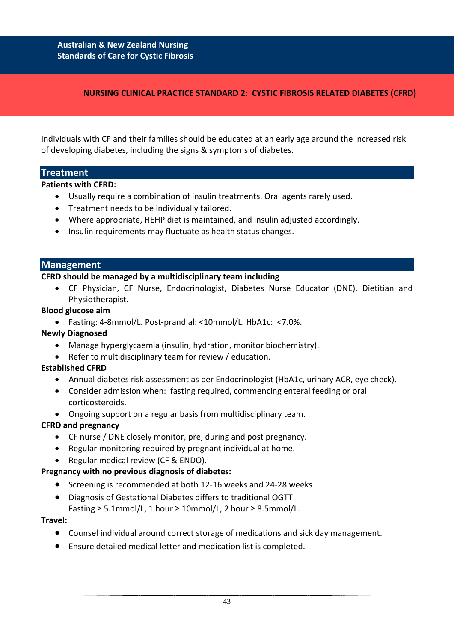## **NURSING CLINICAL PRACTICE STANDARD 2: CYSTIC FIBROSIS RELATED DIABETES (CFRD)**

Individuals with CF and their families should be educated at an early age around the increased risk of developing diabetes, including the signs & symptoms of diabetes.

### **Treatment**

**Patients with CFRD:** 

- Usually require a combination of insulin treatments. Oral agents rarely used.
- Treatment needs to be individually tailored.
- Where appropriate, HEHP diet is maintained, and insulin adjusted accordingly.
- Insulin requirements may fluctuate as health status changes.

#### **Management**

#### **CFRD should be managed by a multidisciplinary team including**

• CF Physician, CF Nurse, Endocrinologist, Diabetes Nurse Educator (DNE), Dietitian and Physiotherapist.

#### **Blood glucose aim**

• Fasting: 4-8mmol/L. Post-prandial: <10mmol/L. HbA1c: <7.0%.

### **Newly Diagnosed**

- Manage hyperglycaemia (insulin, hydration, monitor biochemistry).
- Refer to multidisciplinary team for review / education.

### **Established CFRD**

- Annual diabetes risk assessment as per Endocrinologist (HbA1c, urinary ACR, eye check).
- Consider admission when: fasting required, commencing enteral feeding or oral corticosteroids.
- Ongoing support on a regular basis from multidisciplinary team.

### **CFRD and pregnancy**

- CF nurse / DNE closely monitor, pre, during and post pregnancy.
- Regular monitoring required by pregnant individual at home.
- Regular medical review (CF & ENDO).

### **Pregnancy with no previous diagnosis of diabetes:**

- Screening is recommended at both 12-16 weeks and 24-28 weeks
- Diagnosis of Gestational Diabetes differs to traditional OGTT Fasting  $\geq 5.1$ mmol/L, 1 hour  $\geq 10$ mmol/L, 2 hour  $\geq 8.5$ mmol/L.

#### **Travel:**

- Counsel individual around correct storage of medications and sick day management.
- Ensure detailed medical letter and medication list is completed.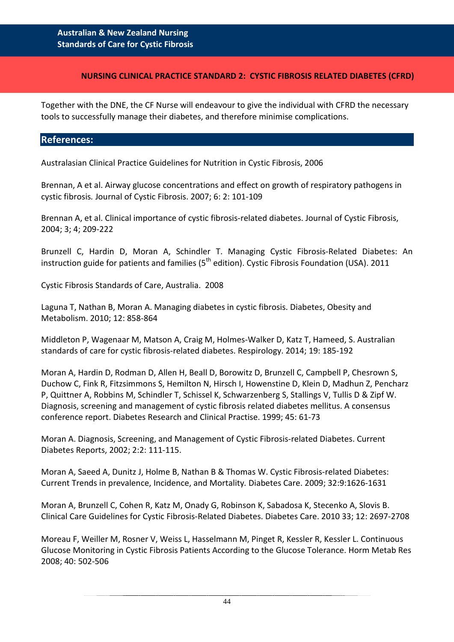### **NURSING CLINICAL PRACTICE STANDARD 2: CYSTIC FIBROSIS RELATED DIABETES (CFRD)**

Together with the DNE, the CF Nurse will endeavour to give the individual with CFRD the necessary tools to successfully manage their diabetes, and therefore minimise complications.

### **References:**

Australasian Clinical Practice Guidelines for Nutrition in Cystic Fibrosis, 2006

Brennan, A et al. Airway glucose concentrations and effect on growth of respiratory pathogens in cystic fibrosis*.* Journal of Cystic Fibrosis. 2007; 6: 2: 101-109

Brennan A, et al. Clinical importance of cystic fibrosis-related diabetes. Journal of Cystic Fibrosis, 2004; 3; 4; 209-222

Brunzell C, Hardin D, Moran A, Schindler T. Managing Cystic Fibrosis-Related Diabetes: An instruction guide for patients and families  $5<sup>th</sup>$  edition). Cystic Fibrosis Foundation (USA). 2011

Cystic Fibrosis Standards of Care, Australia. 2008

Laguna T, Nathan B, Moran A. Managing diabetes in cystic fibrosis. Diabetes, Obesity and Metabolism. 2010; 12: 858-864

Middleton P, Wagenaar M, Matson A, Craig M, Holmes-Walker D, Katz T, Hameed, S. Australian standards of care for cystic fibrosis-related diabetes. Respirology. 2014; 19: 185-192

Moran A, Hardin D, Rodman D, Allen H, Beall D, Borowitz D, Brunzell C, Campbell P, Chesrown S, Duchow C, Fink R, Fitzsimmons S, Hemilton N, Hirsch I, Howenstine D, Klein D, Madhun Z, Pencharz P, Quittner A, Robbins M, Schindler T, Schissel K, Schwarzenberg S, Stallings V, Tullis D & Zipf W. Diagnosis, screening and management of cystic fibrosis related diabetes mellitus. A consensus conference report. Diabetes Research and Clinical Practise. 1999; 45: 61-73

Moran A. Diagnosis, Screening, and Management of Cystic Fibrosis-related Diabetes. [Current](http://www.springerlink.com/content/120637/?p=dfa6009720ec4af58395d21b189a8621&pi=0)  [Diabetes Reports,](http://www.springerlink.com/content/120637/?p=dfa6009720ec4af58395d21b189a8621&pi=0) 2002; 2:2: 111-115.

Moran A, Saeed A, Dunitz J, Holme B, Nathan B & Thomas W. Cystic Fibrosis-related Diabetes: Current Trends in prevalence, Incidence, and Mortality*.* Diabetes Care. 2009; 32:9:1626-1631

Moran A, Brunzell C, Cohen R, Katz M, Onady G, Robinson K, Sabadosa K, Stecenko A, Slovis B. Clinical Care Guidelines for Cystic Fibrosis-Related Diabetes. Diabetes Care. 2010 33; 12: 2697-2708

Moreau F, Weiller M, Rosner V, Weiss L, Hasselmann M, Pinget R, Kessler R, Kessler L. Continuous Glucose Monitoring in Cystic Fibrosis Patients According to the Glucose Tolerance. Horm Metab Res 2008; 40: 502-506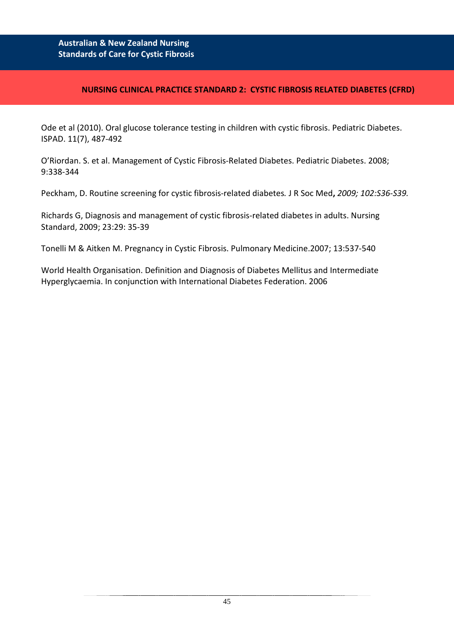## **NURSING CLINICAL PRACTICE STANDARD 2: CYSTIC FIBROSIS RELATED DIABETES (CFRD)**

Ode et al (2010). Oral glucose tolerance testing in children with cystic fibrosis. Pediatric Diabetes. ISPAD. 11(7), 487-492

O'Riordan. S. et al. Management of Cystic Fibrosis-Related Diabetes. Pediatric Diabetes. 2008; 9:338-344

Peckham, D. Routine screening for cystic fibrosis-related diabetes*.* [J R Soc Med](http://www.pubmedcentral.nih.gov/tocrender.fcgi?journal=256&action=archive)**,** *2009; 102:S36-S39.*

Richards G, Diagnosis and management of cystic fibrosis-related diabetes in adults. Nursing Standard, 2009; 23:29: 35-39

Tonelli M & Aitken M. Pregnancy in Cystic Fibrosis. Pulmonary Medicine.2007; 13:537-540

World Health Organisation. Definition and Diagnosis of Diabetes Mellitus and Intermediate Hyperglycaemia. In conjunction with International Diabetes Federation. 2006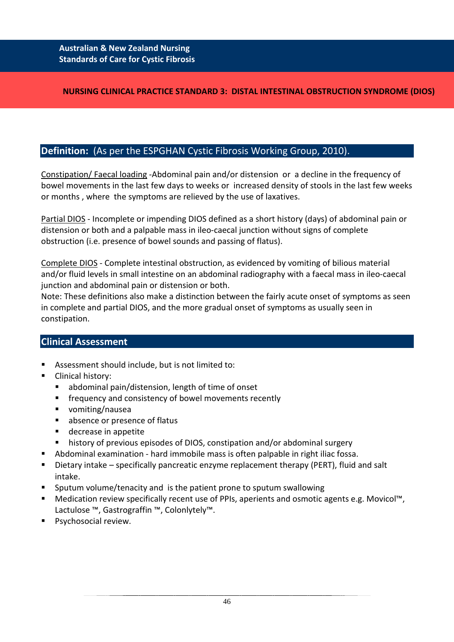## **NURSING CLINICAL PRACTICE STANDARD 3: DISTAL INTESTINAL OBSTRUCTION SYNDROME (DIOS)**

# **Definition:** (As per the ESPGHAN Cystic Fibrosis Working Group, 2010).

Constipation/ Faecal loading -Abdominal pain and/or distension or a decline in the frequency of bowel movements in the last few days to weeks or increased density of stools in the last few weeks or months , where the symptoms are relieved by the use of laxatives.

Partial DIOS - Incomplete or impending DIOS defined as a short history (days) of abdominal pain or distension or both and a palpable mass in ileo-caecal junction without signs of complete obstruction (i.e. presence of bowel sounds and passing of flatus).

Complete DIOS - Complete intestinal obstruction, as evidenced by vomiting of bilious material and/or fluid levels in small intestine on an abdominal radiography with a faecal mass in ileo-caecal junction and abdominal pain or distension or both.

Note: These definitions also make a distinction between the fairly acute onset of symptoms as seen in complete and partial DIOS, and the more gradual onset of symptoms as usually seen in constipation.

# **Clinical Assessment**

- Assessment should include, but is not limited to:
- Clinical history:
	- abdominal pain/distension, length of time of onset
	- **F** frequency and consistency of bowel movements recently
	- vomiting/nausea
	- **absence or presence of flatus**
	- decrease in appetite
	- history of previous episodes of DIOS, constipation and/or abdominal surgery
- Abdominal examination hard immobile mass is often palpable in right iliac fossa.
- Dietary intake specifically pancreatic enzyme replacement therapy (PERT), fluid and salt intake.
- Sputum volume/tenacity and is the patient prone to sputum swallowing
- Medication review specifically recent use of PPIs, aperients and osmotic agents e.g. Movicol™, Lactulose ™, Gastrograffin ™, Colonlytely™.
- **Psychosocial review.**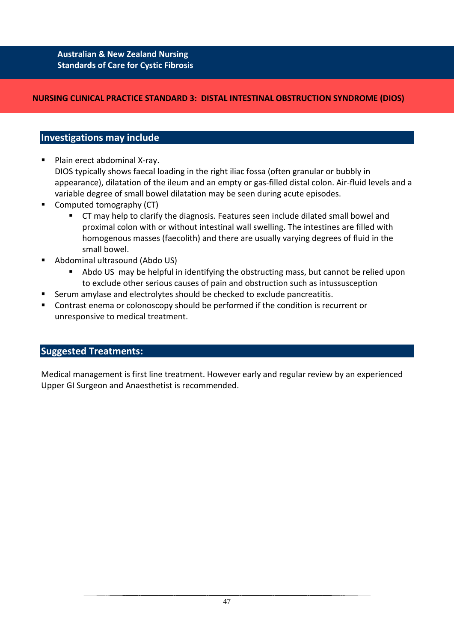## **NURSING CLINICAL PRACTICE STANDARD 3: DISTAL INTESTINAL OBSTRUCTION SYNDROME (DIOS)**

## **Investigations may include**

- Plain erect abdominal X-ray. DIOS typically shows faecal loading in the right iliac fossa (often granular or bubbly in appearance), dilatation of the ileum and an empty or gas-filled distal colon. Air-fluid levels and a variable degree of small bowel dilatation may be seen during acute episodes.
- Computed tomography (CT)
	- CT may help to clarify the diagnosis. Features seen include dilated small bowel and proximal colon with or without intestinal wall swelling. The intestines are filled with homogenous masses (faecolith) and there are usually varying degrees of fluid in the small bowel.
- Abdominal ultrasound (Abdo US)
	- Abdo US may be helpful in identifying the obstructing mass, but cannot be relied upon to exclude other serious causes of pain and obstruction such as intussusception
- Serum amylase and electrolytes should be checked to exclude pancreatitis.
- Contrast enema or colonoscopy should be performed if the condition is recurrent or unresponsive to medical treatment.

# **Suggested Treatments:**

Medical management is first line treatment. However early and regular review by an experienced Upper GI Surgeon and Anaesthetist is recommended.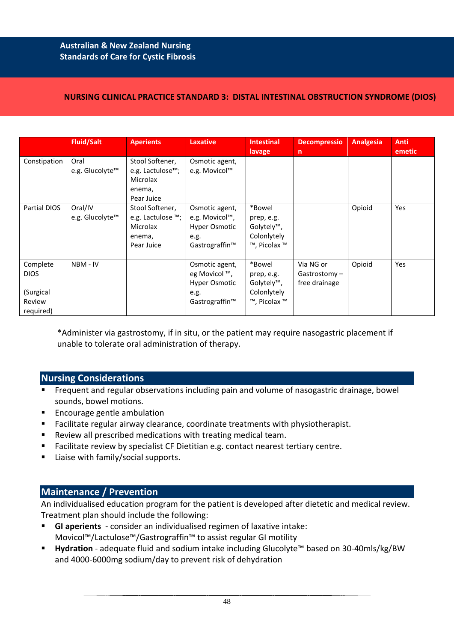## **NURSING CLINICAL PRACTICE STANDARD 3: DISTAL INTESTINAL OBSTRUCTION SYNDROME (DIOS)**

|                                                             | <b>Fluid/Salt</b>          | <b>Aperients</b>                                                         | <b>Laxative</b>                                                             | <b>Intestinal</b><br>lavage                                                    | <b>Decompressio</b><br>$\mathsf{n}$        | <b>Analgesia</b> | <b>Anti</b><br>emetic |
|-------------------------------------------------------------|----------------------------|--------------------------------------------------------------------------|-----------------------------------------------------------------------------|--------------------------------------------------------------------------------|--------------------------------------------|------------------|-----------------------|
| Constipation                                                | Oral<br>e.g. Glucolyte™    | Stool Softener,<br>e.g. Lactulose™;<br>Microlax<br>enema,<br>Pear Juice  | Osmotic agent,<br>e.g. Movicol™                                             |                                                                                |                                            |                  |                       |
| Partial DIOS                                                | Oral/IV<br>e.g. Glucolyte™ | Stool Softener,<br>e.g. Lactulose ™;<br>Microlax<br>enema,<br>Pear Juice | Osmotic agent,<br>e.g. Movicol™,<br>Hyper Osmotic<br>e.g.<br>Gastrograffin™ | *Bowel<br>prep, e.g.<br>Golytely <sup>™</sup> ,<br>Colonlytely<br>™, Picolax ™ |                                            | Opioid           | Yes                   |
| Complete<br><b>DIOS</b><br>(Surgical<br>Review<br>required) | NBM - IV                   |                                                                          | Osmotic agent,<br>eg Movicol ™,<br>Hyper Osmotic<br>e.g.<br>Gastrograffin™  | *Bowel<br>prep, e.g.<br>Golytely™,<br>Colonlytely<br>™, Picolax ™              | Via NG or<br>Gastrostomy-<br>free drainage | Opioid           | Yes                   |

\*Administer via gastrostomy, if in situ, or the patient may require nasogastric placement if unable to tolerate oral administration of therapy.

## **Nursing Considerations**

- **FIF** Frequent and regular observations including pain and volume of nasogastric drainage, bowel sounds, bowel motions.
- **Encourage gentle ambulation**
- Facilitate regular airway clearance, coordinate treatments with physiotherapist.
- Review all prescribed medications with treating medical team.
- Facilitate review by specialist CF Dietitian e.g. contact nearest tertiary centre.
- Liaise with family/social supports.

# **Maintenance / Prevention**

An individualised education program for the patient is developed after dietetic and medical review. Treatment plan should include the following:

- **GI aperients**  consider an individualised regimen of laxative intake: Movicol™/Lactulose™/Gastrograffin™ to assist regular GI motility
- **Hydration**  adequate fluid and sodium intake including Glucolyte™ based on 30-40mls/kg/BW and 4000-6000mg sodium/day to prevent risk of dehydration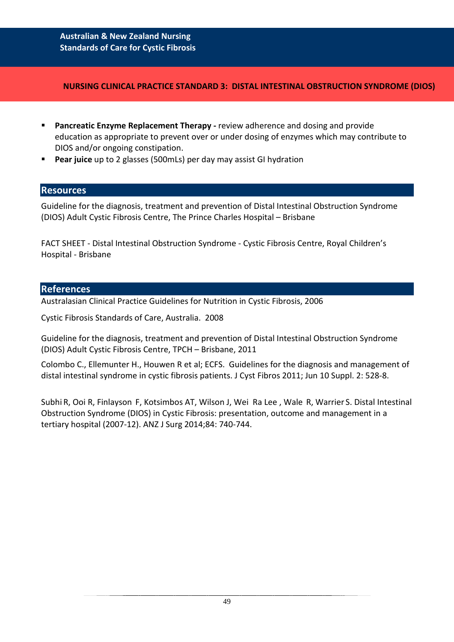#### **NURSING CLINICAL PRACTICE STANDARD 3: DISTAL INTESTINAL OBSTRUCTION SYNDROME (DIOS)**

- **Pancreatic Enzyme Replacement Therapy -** review adherence and dosing and provide education as appropriate to prevent over or under dosing of enzymes which may contribute to DIOS and/or ongoing constipation.
- **Pear juice** up to 2 glasses (500mLs) per day may assist GI hydration

### **Resources**

Guideline for the diagnosis, treatment and prevention of Distal Intestinal Obstruction Syndrome (DIOS) Adult Cystic Fibrosis Centre, The Prince Charles Hospital – Brisbane

FACT SHEET - Distal Intestinal Obstruction Syndrome - Cystic Fibrosis Centre, Royal Children's Hospital - Brisbane

### **References**

Australasian Clinical Practice Guidelines for Nutrition in Cystic Fibrosis, 2006

Cystic Fibrosis Standards of Care, Australia. 2008

Guideline for the diagnosis, treatment and prevention of Distal Intestinal Obstruction Syndrome (DIOS) Adult Cystic Fibrosis Centre, TPCH – Brisbane, 2011

Colombo C., Ellemunter H., Houwen R et al; ECFS. Guidelines for the diagnosis and management of distal intestinal syndrome in cystic fibrosis patients. J Cyst Fibros 2011; Jun 10 Suppl. 2: 528-8.

Subhi R, Ooi R, Finlayson F, Kotsimbos AT, Wilson J, Wei Ra Lee , Wale R, Warrier S. Distal Intestinal Obstruction Syndrome (DIOS) in Cystic Fibrosis: presentation, outcome and management in a tertiary hospital (2007-12). ANZ J Surg 2014;84: 740-744.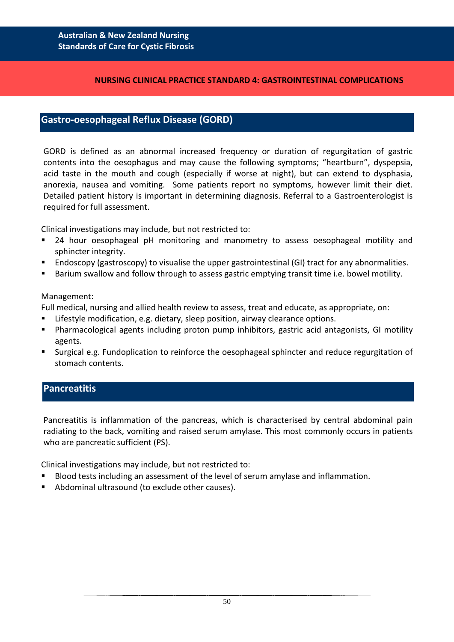#### **NURSING CLINICAL PRACTICE STANDARD 4: GASTROINTESTINAL COMPLICATIONS**

## **Gastro-oesophageal Reflux Disease (GORD)**

GORD is defined as an abnormal increased frequency or duration of regurgitation of gastric contents into the oesophagus and may cause the following symptoms; "heartburn", dyspepsia, acid taste in the mouth and cough (especially if worse at night), but can extend to dysphasia, anorexia, nausea and vomiting. Some patients report no symptoms, however limit their diet. Detailed patient history is important in determining diagnosis. Referral to a Gastroenterologist is required for full assessment.

Clinical investigations may include, but not restricted to:

- 24 hour oesophageal pH monitoring and manometry to assess oesophageal motility and sphincter integrity.
- Endoscopy (gastroscopy) to visualise the upper gastrointestinal (GI) tract for any abnormalities.
- Barium swallow and follow through to assess gastric emptying transit time i.e. bowel motility.

#### Management:

Full medical, nursing and allied health review to assess, treat and educate, as appropriate, on:

- Lifestyle modification, e.g. dietary, sleep position, airway clearance options.
- Pharmacological agents including proton pump inhibitors, gastric acid antagonists, GI motility agents.
- Surgical e.g. Fundoplication to reinforce the oesophageal sphincter and reduce regurgitation of stomach contents.

# **Pancreatitis**

Pancreatitis is inflammation of the pancreas, which is characterised by central abdominal pain radiating to the back, vomiting and raised serum amylase. This most commonly occurs in patients who are pancreatic sufficient (PS).

Clinical investigations may include, but not restricted to:

- Blood tests including an assessment of the level of serum amylase and inflammation.
- Abdominal ultrasound (to exclude other causes).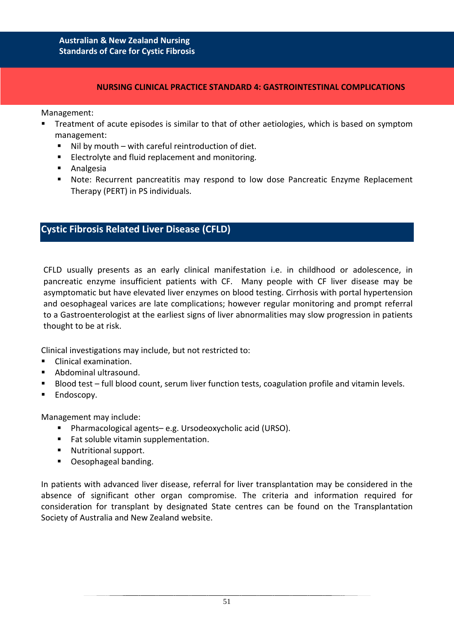### **NURSING CLINICAL PRACTICE STANDARD 4: GASTROINTESTINAL COMPLICATIONS**

Management:

- Treatment of acute episodes is similar to that of other aetiologies, which is based on symptom management:
	- Nil by mouth with careful reintroduction of diet.
	- **Electrolyte and fluid replacement and monitoring.**
	- **Analgesia**
	- Note: Recurrent pancreatitis may respond to low dose Pancreatic Enzyme Replacement Therapy (PERT) in PS individuals.

# **Cystic Fibrosis Related Liver Disease (CFLD)**

CFLD usually presents as an early clinical manifestation i.e. in childhood or adolescence, in pancreatic enzyme insufficient patients with CF. Many people with CF liver disease may be asymptomatic but have elevated liver enzymes on blood testing. Cirrhosis with portal hypertension and oesophageal varices are late complications; however regular monitoring and prompt referral to a Gastroenterologist at the earliest signs of liver abnormalities may slow progression in patients thought to be at risk.

Clinical investigations may include, but not restricted to:

- Clinical examination.
- Abdominal ultrasound.
- Blood test full blood count, serum liver function tests, coagulation profile and vitamin levels.
- **Endoscopy.**

Management may include:

- Pharmacological agents– e.g. Ursodeoxycholic acid (URSO).
- Fat soluble vitamin supplementation.
- **Nutritional support.**
- Oesophageal banding.

In patients with advanced liver disease, referral for liver transplantation may be considered in the absence of significant other organ compromise. The criteria and information required for consideration for transplant by designated State centres can be found on the Transplantation Society of Australia and New Zealand website.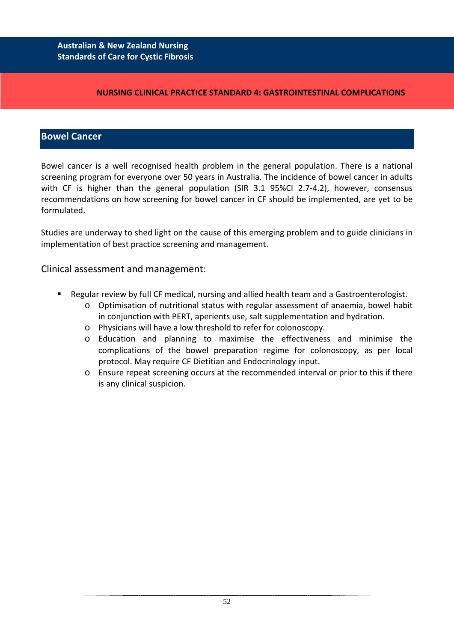### **NURSING CLINICAL PRACTICE STANDARD 4: GASTROINTESTINAL COMPLICATIONS**

# **Bowel Cancer**

Bowel cancer is a well recognised health problem in the general population. There is a national screening program for everyone over 50 years in Australia. The incidence of bowel cancer in adults with CF is higher than the general population (SIR 3.1 95%CI 2.7-4.2), however, consensus recommendations on how screening for bowel cancer in CF should be implemented, are yet to be formulated.

Studies are underway to shed light on the cause of this emerging problem and to guide clinicians in implementation of best practice screening and management.

# Clinical assessment and management:

- Regular review by full CF medical, nursing and allied health team and a Gastroenterologist.
	- o Optimisation of nutritional status with regular assessment of anaemia, bowel habit in conjunction with PERT, aperients use, salt supplementation and hydration.
	- o Physicians will have a low threshold to refer for colonoscopy.
	- o Education and planning to maximise the effectiveness and minimise the complications of the bowel preparation regime for colonoscopy, as per local protocol. May require CF Dietitian and Endocrinology input.
	- o Ensure repeat screening occurs at the recommended interval or prior to this if there is any clinical suspicion.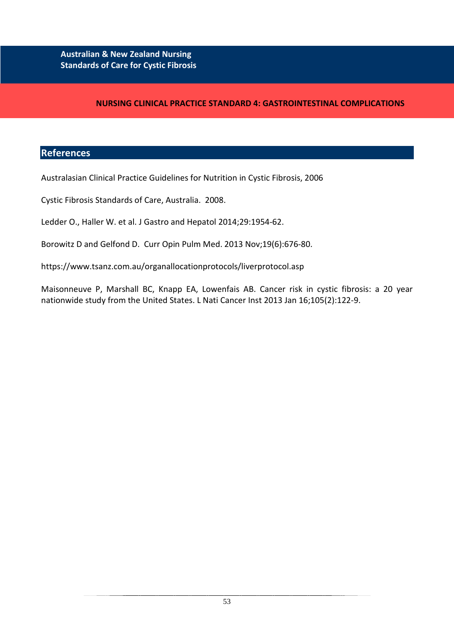## **NURSING CLINICAL PRACTICE STANDARD 4: GASTROINTESTINAL COMPLICATIONS**

## **References**

Australasian Clinical Practice Guidelines for Nutrition in Cystic Fibrosis, 2006

Cystic Fibrosis Standards of Care, Australia. 2008.

Ledder O., Haller W. et al. J Gastro and Hepatol 2014;29:1954-62.

Borowitz D and Gelfond D. Curr Opin Pulm Med. 2013 Nov;19(6):676-80.

https://www.tsanz.com.au/organallocationprotocols/liverprotocol.asp

Maisonneuve P, Marshall BC, Knapp EA, Lowenfais AB. Cancer risk in cystic fibrosis: a 20 year nationwide study from the United States. L Nati Cancer Inst 2013 Jan 16;105(2):122-9.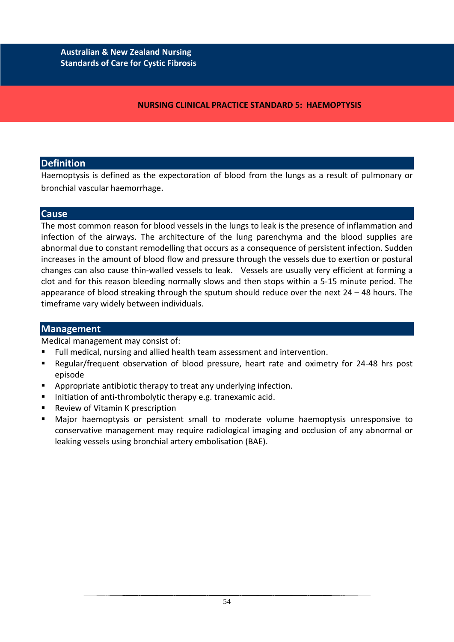**NURSING CLINICAL PRACTICE STANDARD 5: HAEMOPTYSIS**

# **Definition**

Haemoptysis is defined as the expectoration of blood from the lungs as a result of pulmonary or bronchial vascular haemorrhage.

# **Cause**

The most common reason for blood vessels in the lungs to leak is the presence of inflammation and infection of the airways. The architecture of the lung parenchyma and the blood supplies are abnormal due to constant remodelling that occurs as a consequence of persistent infection. Sudden increases in the amount of blood flow and pressure through the vessels due to exertion or postural changes can also cause thin-walled vessels to leak. Vessels are usually very efficient at forming a clot and for this reason bleeding normally slows and then stops within a 5-15 minute period. The appearance of blood streaking through the sputum should reduce over the next 24 – 48 hours. The timeframe vary widely between individuals.

# **Management**

Medical management may consist of:

- Full medical, nursing and allied health team assessment and intervention.
- Regular/frequent observation of blood pressure, heart rate and oximetry for 24-48 hrs post episode
- Appropriate antibiotic therapy to treat any underlying infection.
- Initiation of anti-thrombolytic therapy e.g. tranexamic acid.
- Review of Vitamin K prescription
- Major haemoptysis or persistent small to moderate volume haemoptysis unresponsive to conservative management may require radiological imaging and occlusion of any abnormal or leaking vessels using bronchial artery embolisation (BAE).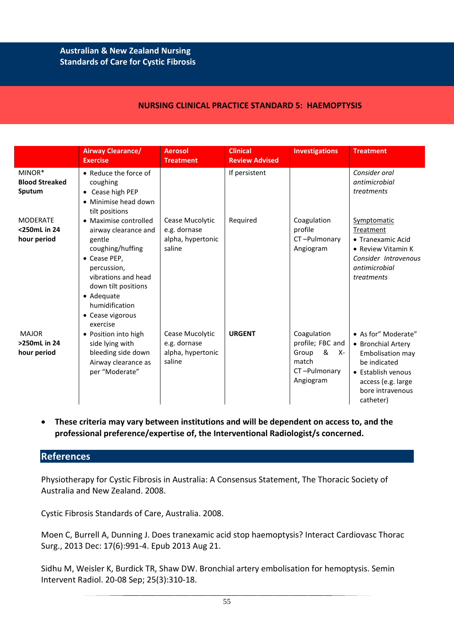#### **NURSING CLINICAL PRACTICE STANDARD 5: HAEMOPTYSIS**

|                                                | <b>Airway Clearance/</b><br><b>Exercise</b>                                                                                                                                                                              | <b>Aerosol</b><br><b>Treatment</b>                             | <b>Clinical</b><br><b>Review Advised</b> | <b>Investigations</b>                                                                       | <b>Treatment</b>                                                                                                                                           |
|------------------------------------------------|--------------------------------------------------------------------------------------------------------------------------------------------------------------------------------------------------------------------------|----------------------------------------------------------------|------------------------------------------|---------------------------------------------------------------------------------------------|------------------------------------------------------------------------------------------------------------------------------------------------------------|
| MINOR*<br><b>Blood Streaked</b><br>Sputum      | • Reduce the force of<br>coughing<br>• Cease high PEP<br>• Minimise head down<br>tilt positions                                                                                                                          |                                                                | If persistent                            |                                                                                             | Consider oral<br>antimicrobial<br>treatments                                                                                                               |
| <b>MODERATE</b><br><250mL in 24<br>hour period | • Maximise controlled<br>airway clearance and<br>gentle<br>coughing/huffing<br>• Cease PEP,<br>percussion,<br>vibrations and head<br>down tilt positions<br>• Adequate<br>humidification<br>• Cease vigorous<br>exercise | Cease Mucolytic<br>e.g. dornase<br>alpha, hypertonic<br>saline | Required                                 | Coagulation<br>profile<br>CT-Pulmonary<br>Angiogram                                         | Symptomatic<br>Treatment<br>• Tranexamic Acid<br>• Review Vitamin K<br>Consider Intravenous<br>antimicrobial<br>treatments                                 |
| <b>MAJOR</b><br>>250mL in 24<br>hour period    | • Position into high<br>side lying with<br>bleeding side down<br>Airway clearance as<br>per "Moderate"                                                                                                                   | Cease Mucolytic<br>e.g. dornase<br>alpha, hypertonic<br>saline | <b>URGENT</b>                            | Coagulation<br>profile; FBC and<br>&<br>Group<br>- X-<br>match<br>CT-Pulmonary<br>Angiogram | • As for" Moderate"<br>• Bronchial Artery<br>Embolisation may<br>be indicated<br>• Establish venous<br>access (e.g. large<br>bore intravenous<br>catheter) |

• **These criteria may vary between institutions and will be dependent on access to, and the professional preference/expertise of, the Interventional Radiologist/s concerned.**

## **References**

Physiotherapy for Cystic Fibrosis in Australia: A Consensus Statement, The Thoracic Society of Australia and New Zealand. 2008.

Cystic Fibrosis Standards of Care, Australia. 2008.

Moen C, Burrell A, Dunning J. Does tranexamic acid stop haemoptysis? Interact Cardiovasc Thorac Surg., 2013 Dec: 17(6):991-4. Epub 2013 Aug 21.

Sidhu M, Weisler K, Burdick TR, Shaw DW. Bronchial artery embolisation for hemoptysis. Semin Intervent Radiol. 20-08 Sep; 25(3):310-18.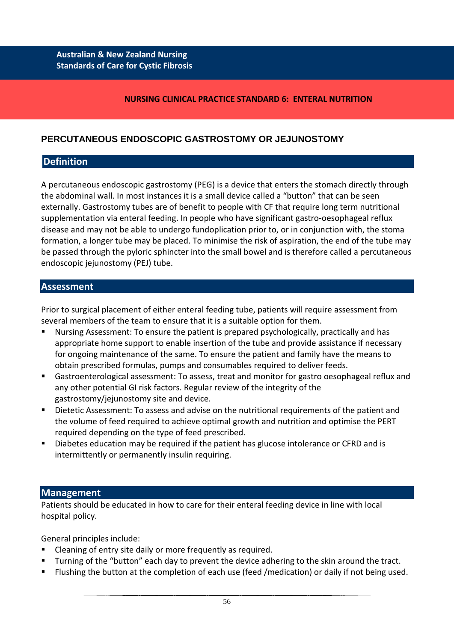#### **NURSING CLINICAL PRACTICE STANDARD 6: ENTERAL NUTRITION**

# **PERCUTANEOUS ENDOSCOPIC GASTROSTOMY OR JEJUNOSTOMY**

## **Definition**

A percutaneous endoscopic gastrostomy (PEG) is a device that enters the stomach directly through the abdominal wall. In most instances it is a small device called a "button" that can be seen externally. Gastrostomy tubes are of benefit to people with CF that require long term nutritional supplementation via enteral feeding. In people who have significant gastro-oesophageal reflux disease and may not be able to undergo fundoplication prior to, or in conjunction with, the stoma formation, a longer tube may be placed. To minimise the risk of aspiration, the end of the tube may be passed through the pyloric sphincter into the small bowel and is therefore called a percutaneous endoscopic jejunostomy (PEJ) tube.

### **Assessment**

Prior to surgical placement of either enteral feeding tube, patients will require assessment from several members of the team to ensure that it is a suitable option for them.

- Nursing Assessment: To ensure the patient is prepared psychologically, practically and has appropriate home support to enable insertion of the tube and provide assistance if necessary for ongoing maintenance of the same. To ensure the patient and family have the means to obtain prescribed formulas, pumps and consumables required to deliver feeds.
- Gastroenterological assessment: To assess, treat and monitor for gastro oesophageal reflux and any other potential GI risk factors. Regular review of the integrity of the gastrostomy/jejunostomy site and device.
- Dietetic Assessment: To assess and advise on the nutritional requirements of the patient and the volume of feed required to achieve optimal growth and nutrition and optimise the PERT required depending on the type of feed prescribed.
- Diabetes education may be required if the patient has glucose intolerance or CFRD and is intermittently or permanently insulin requiring.

### **Management**

Patients should be educated in how to care for their enteral feeding device in line with local hospital policy.

General principles include:

- Cleaning of entry site daily or more frequently as required.
- Turning of the "button" each day to prevent the device adhering to the skin around the tract.
- Flushing the button at the completion of each use (feed /medication) or daily if not being used.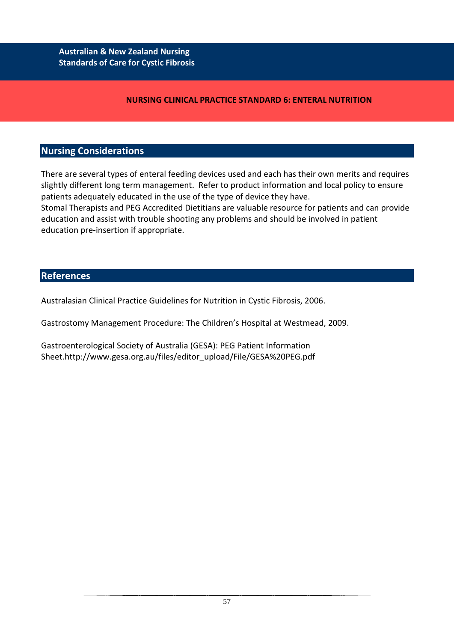## **NURSING CLINICAL PRACTICE STANDARD 6: ENTERAL NUTRITION**

## **Nursing Considerations**

There are several types of enteral feeding devices used and each has their own merits and requires slightly different long term management. Refer to product information and local policy to ensure patients adequately educated in the use of the type of device they have.

Stomal Therapists and PEG Accredited Dietitians are valuable resource for patients and can provide education and assist with trouble shooting any problems and should be involved in patient education pre-insertion if appropriate.

# **References**

Australasian Clinical Practice Guidelines for Nutrition in Cystic Fibrosis, 2006.

Gastrostomy Management Procedure: The Children's Hospital at Westmead, 2009.

Gastroenterological Society of Australia (GESA): PEG Patient Information Sheet.http://www.gesa.org.au/files/editor\_upload/File/GESA%20PEG.pdf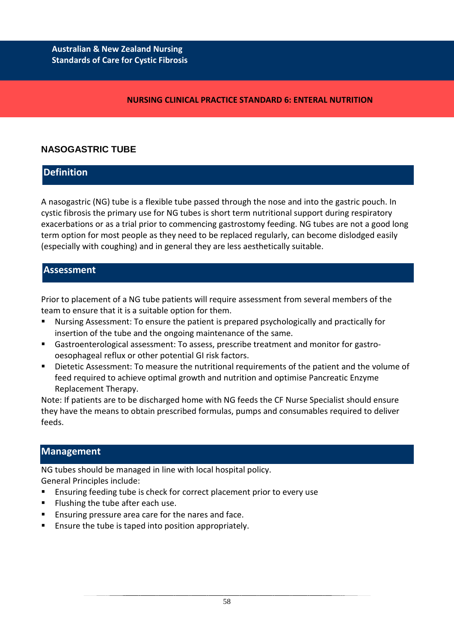### **NURSING CLINICAL PRACTICE STANDARD 6: ENTERAL NUTRITION**

# **NASOGASTRIC TUBE**

# **Definition**

A nasogastric (NG) tube is a flexible tube passed through the nose and into the gastric pouch. In cystic fibrosis the primary use for NG tubes is short term nutritional support during respiratory exacerbations or as a trial prior to commencing gastrostomy feeding. NG tubes are not a good long term option for most people as they need to be replaced regularly, can become dislodged easily (especially with coughing) and in general they are less aesthetically suitable.

## **Assessment**

Prior to placement of a NG tube patients will require assessment from several members of the team to ensure that it is a suitable option for them.

- Nursing Assessment: To ensure the patient is prepared psychologically and practically for insertion of the tube and the ongoing maintenance of the same.
- Gastroenterological assessment: To assess, prescribe treatment and monitor for gastrooesophageal reflux or other potential GI risk factors.
- Dietetic Assessment: To measure the nutritional requirements of the patient and the volume of feed required to achieve optimal growth and nutrition and optimise Pancreatic Enzyme Replacement Therapy.

Note: If patients are to be discharged home with NG feeds the CF Nurse Specialist should ensure they have the means to obtain prescribed formulas, pumps and consumables required to deliver feeds.

# **Management**

NG tubes should be managed in line with local hospital policy.

General Principles include:

- Ensuring feeding tube is check for correct placement prior to every use
- **Filushing the tube after each use.**
- Ensuring pressure area care for the nares and face.
- Ensure the tube is taped into position appropriately.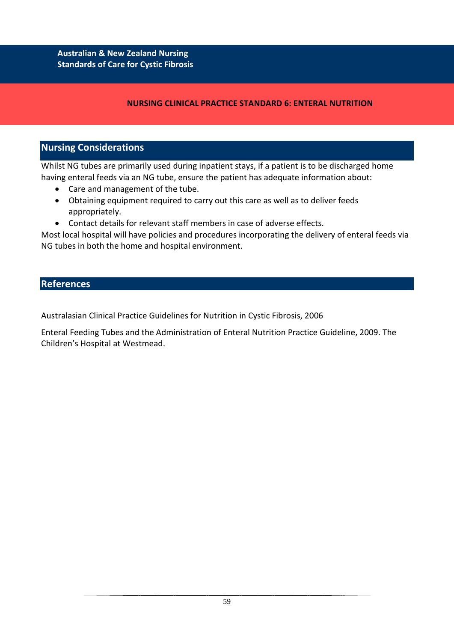# **NURSING CLINICAL PRACTICE STANDARD 6: ENTERAL NUTRITION**

# **Nursing Considerations**

Whilst NG tubes are primarily used during inpatient stays, if a patient is to be discharged home having enteral feeds via an NG tube, ensure the patient has adequate information about:

- Care and management of the tube.
- Obtaining equipment required to carry out this care as well as to deliver feeds appropriately.
- Contact details for relevant staff members in case of adverse effects.

Most local hospital will have policies and procedures incorporating the delivery of enteral feeds via NG tubes in both the home and hospital environment.

## **References**

Australasian Clinical Practice Guidelines for Nutrition in Cystic Fibrosis, 2006

Enteral Feeding Tubes and the Administration of Enteral Nutrition Practice Guideline, 2009. The Children's Hospital at Westmead.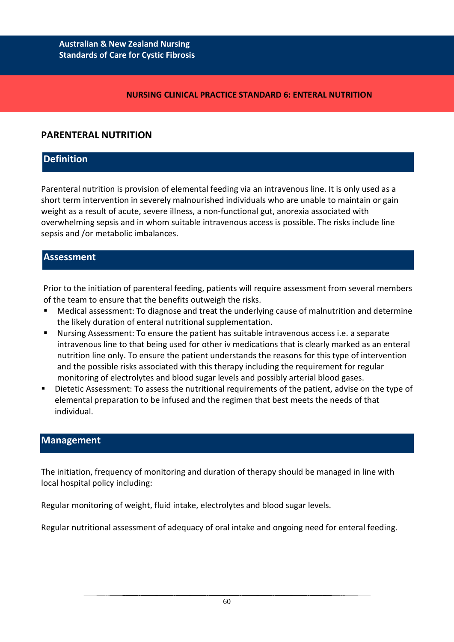#### **NURSING CLINICAL PRACTICE STANDARD 6: ENTERAL NUTRITION**

# **PARENTERAL NUTRITION**

# **Definition**

Parenteral nutrition is provision of elemental feeding via an intravenous line. It is only used as a short term intervention in severely malnourished individuals who are unable to maintain or gain weight as a result of acute, severe illness, a non-functional gut, anorexia associated with overwhelming sepsis and in whom suitable intravenous access is possible. The risks include line sepsis and /or metabolic imbalances.

# **Assessment**

Prior to the initiation of parenteral feeding, patients will require assessment from several members of the team to ensure that the benefits outweigh the risks.

- Medical assessment: To diagnose and treat the underlying cause of malnutrition and determine the likely duration of enteral nutritional supplementation.
- Nursing Assessment: To ensure the patient has suitable intravenous access i.e. a separate intravenous line to that being used for other iv medications that is clearly marked as an enteral nutrition line only. To ensure the patient understands the reasons for this type of intervention and the possible risks associated with this therapy including the requirement for regular monitoring of electrolytes and blood sugar levels and possibly arterial blood gases.
- Dietetic Assessment: To assess the nutritional requirements of the patient, advise on the type of elemental preparation to be infused and the regimen that best meets the needs of that individual.

# **Management**

The initiation, frequency of monitoring and duration of therapy should be managed in line with local hospital policy including:

Regular monitoring of weight, fluid intake, electrolytes and blood sugar levels.

Regular nutritional assessment of adequacy of oral intake and ongoing need for enteral feeding.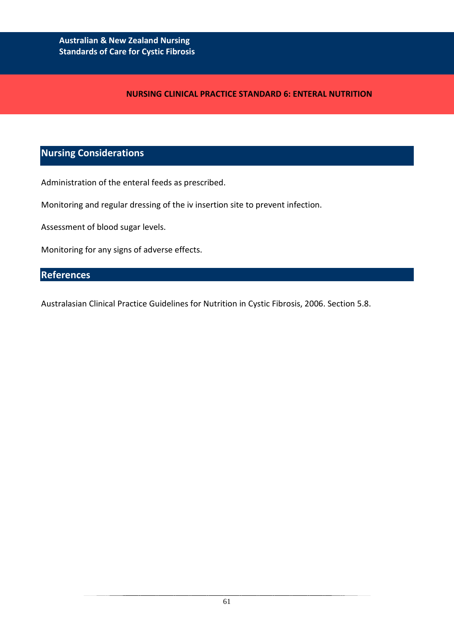#### **NURSING CLINICAL PRACTICE STANDARD 6: ENTERAL NUTRITION**

# **Nursing Considerations**

Administration of the enteral feeds as prescribed.

Monitoring and regular dressing of the iv insertion site to prevent infection.

Assessment of blood sugar levels.

Monitoring for any signs of adverse effects.

# **References**

Australasian Clinical Practice Guidelines for Nutrition in Cystic Fibrosis, 2006. Section 5.8.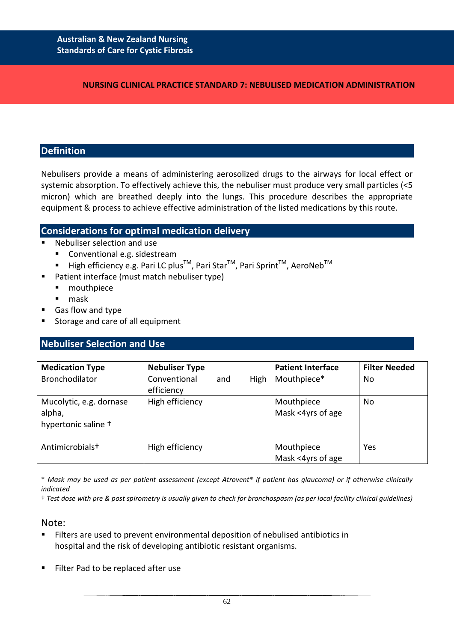#### **NURSING CLINICAL PRACTICE STANDARD 7: NEBULISED MEDICATION ADMINISTRATION**

### **Definition**

Nebulisers provide a means of administering aerosolized drugs to the airways for local effect or systemic absorption. To effectively achieve this, the nebuliser must produce very small particles (<5 micron) which are breathed deeply into the lungs. This procedure describes the appropriate equipment & process to achieve effective administration of the listed medications by this route.

## **Considerations for optimal medication delivery**

- Nebuliser selection and use
	- Conventional e.g. sidestream
	- High efficiency e.g. Pari LC plus<sup>™</sup>, Pari Star<sup>™</sup>, Pari Sprint<sup>™</sup>, AeroNeb<sup>™</sup>
- Patient interface (must match nebuliser type)
	- **nouthpiece**
	- mask
- Gas flow and type
- Storage and care of all equipment

# **Nebuliser Selection and Use**

| <b>Medication Type</b>                                   | <b>Nebuliser Type</b>      |     |      | <b>Patient Interface</b>        | <b>Filter Needed</b> |
|----------------------------------------------------------|----------------------------|-----|------|---------------------------------|----------------------|
| Bronchodilator                                           | Conventional<br>efficiency | and | High | Mouthpiece*                     | No                   |
| Mucolytic, e.g. dornase<br>alpha,<br>hypertonic saline + | High efficiency            |     |      | Mouthpiece<br>Mask <4yrs of age | No                   |
| Antimicrobials <sup>+</sup>                              | High efficiency            |     |      | Mouthpiece<br>Mask <4yrs of age | Yes                  |

\* *Mask may be used as per patient assessment (except Atrovent® if patient has glaucoma) or if otherwise clinically indicated*

† *Test dose with pre & post spirometry is usually given to check for bronchospasm (as per local facility clinical guidelines)*

#### Note:

- Filters are used to prevent environmental deposition of nebulised antibiotics in hospital and the risk of developing antibiotic resistant organisms.
- Filter Pad to be replaced after use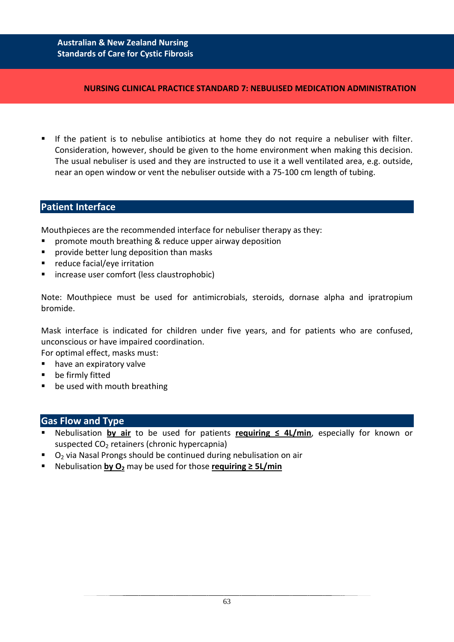#### **NURSING CLINICAL PRACTICE STANDARD 7: NEBULISED MEDICATION ADMINISTRATION**

 If the patient is to nebulise antibiotics at home they do not require a nebuliser with filter. Consideration, however, should be given to the home environment when making this decision. The usual nebuliser is used and they are instructed to use it a well ventilated area, e.g. outside, near an open window or vent the nebuliser outside with a 75-100 cm length of tubing.

## **Patient Interface**

Mouthpieces are the recommended interface for nebuliser therapy as they:

- promote mouth breathing & reduce upper airway deposition
- **P** provide better lung deposition than masks
- reduce facial/eye irritation
- **E** increase user comfort (less claustrophobic)

Note: Mouthpiece must be used for antimicrobials, steroids, dornase alpha and ipratropium bromide.

Mask interface is indicated for children under five years, and for patients who are confused, unconscious or have impaired coordination.

For optimal effect, masks must:

- have an expiratory valve
- **•** be firmly fitted
- **•** be used with mouth breathing

### **Gas Flow and Type**

- Nebulisation **by air** to be used for patients **requiring ≤ 4L/min**, especially for known or suspected CO<sub>2</sub> retainers (chronic hypercapnia)
- $O<sub>2</sub>$  via Nasal Prongs should be continued during nebulisation on air
- Nebulisation **by O2** may be used for those **requiring ≥ 5L/min**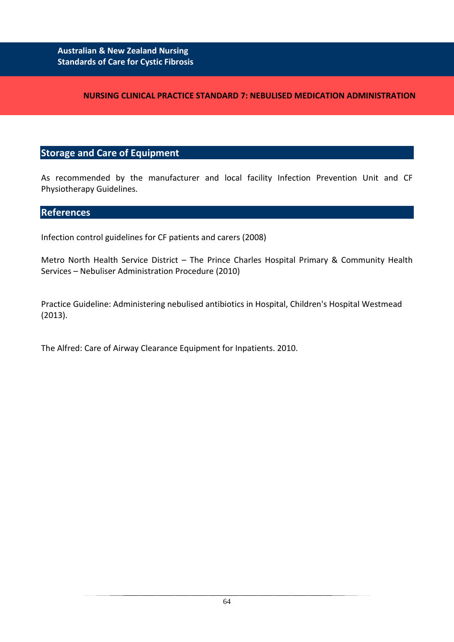## **NURSING CLINICAL PRACTICE STANDARD 7: NEBULISED MEDICATION ADMINISTRATION**

# **Storage and Care of Equipment**

As recommended by the manufacturer and local facility Infection Prevention Unit and CF Physiotherapy Guidelines.

## **References**

Infection control guidelines for CF patients and carers (2008)

Metro North Health Service District – The Prince Charles Hospital Primary & Community Health Services – Nebuliser Administration Procedure (2010)

Practice Guideline: Administering nebulised antibiotics in Hospital, Children's Hospital Westmead (2013).

The Alfred: Care of Airway Clearance Equipment for Inpatients. 2010.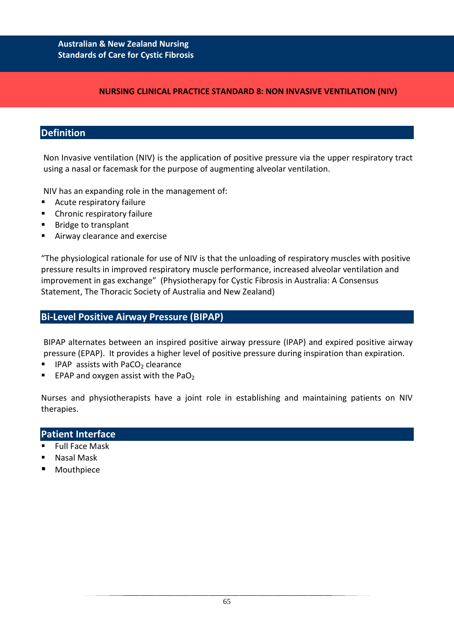#### **NURSING CLINICAL PRACTICE STANDARD 8: NON INVASIVE VENTILATION (NIV)**

# **Definition**

Non Invasive ventilation (NIV) is the application of positive pressure via the upper respiratory tract using a nasal or facemask for the purpose of augmenting alveolar ventilation.

NIV has an expanding role in the management of:

- **Acute respiratory failure**
- **EXPLO Chronic respiratory failure**
- Bridge to transplant
- Airway clearance and exercise

"The physiological rationale for use of NIV is that the unloading of respiratory muscles with positive pressure results in improved respiratory muscle performance, increased alveolar ventilation and improvement in gas exchange" (Physiotherapy for Cystic Fibrosis in Australia: A Consensus Statement, The Thoracic Society of Australia and New Zealand)

## **Bi-Level Positive Airway Pressure (BIPAP)**

BIPAP alternates between an inspired positive airway pressure (IPAP) and expired positive airway pressure (EPAP). It provides a higher level of positive pressure during inspiration than expiration.

- **IFAP** assists with PaCO<sub>2</sub> clearance
- EPAP and oxygen assist with the PaO<sub>2</sub>

Nurses and physiotherapists have a joint role in establishing and maintaining patients on NIV therapies.

### **Patient Interface**

- Full Face Mask
- Nasal Mask
- Mouthpiece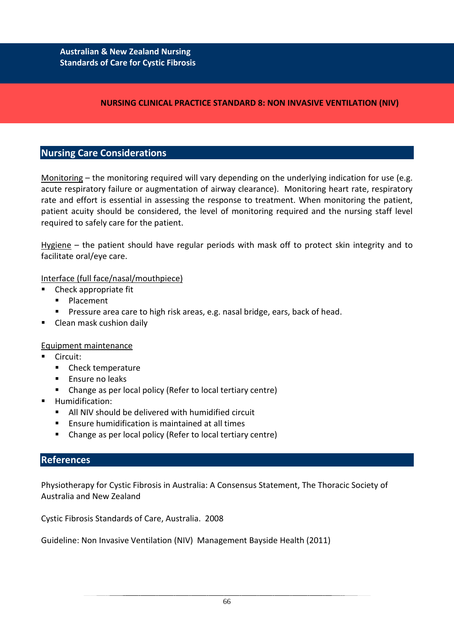## **NURSING CLINICAL PRACTICE STANDARD 8: NON INVASIVE VENTILATION (NIV)**

# **Nursing Care Considerations**

Monitoring – the monitoring required will vary depending on the underlying indication for use (e.g. acute respiratory failure or augmentation of airway clearance). Monitoring heart rate, respiratory rate and effort is essential in assessing the response to treatment. When monitoring the patient, patient acuity should be considered, the level of monitoring required and the nursing staff level required to safely care for the patient.

Hygiene – the patient should have regular periods with mask off to protect skin integrity and to facilitate oral/eye care.

### Interface (full face/nasal/mouthpiece)

- Check appropriate fit
	- **Placement**
	- Pressure area care to high risk areas, e.g. nasal bridge, ears, back of head.
- Clean mask cushion daily

#### Equipment maintenance

- Circuit:
	- Check temperature
	- **Ensure no leaks**
	- Change as per local policy (Refer to local tertiary centre)
- Humidification:
	- All NIV should be delivered with humidified circuit
	- **Ensure humidification is maintained at all times**
	- Change as per local policy (Refer to local tertiary centre)

### **References**

Physiotherapy for Cystic Fibrosis in Australia: A Consensus Statement, The Thoracic Society of Australia and New Zealand

Cystic Fibrosis Standards of Care, Australia. 2008

Guideline: Non Invasive Ventilation (NIV) Management Bayside Health (2011)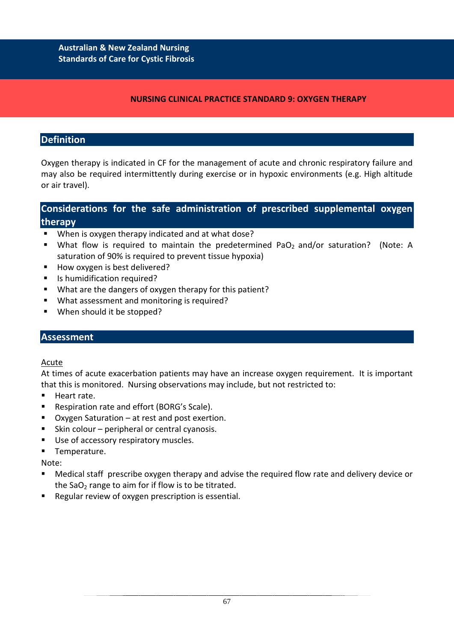### **NURSING CLINICAL PRACTICE STANDARD 9: OXYGEN THERAPY**

# **Definition**

Oxygen therapy is indicated in CF for the management of acute and chronic respiratory failure and may also be required intermittently during exercise or in hypoxic environments (e.g. High altitude or air travel).

# **Considerations for the safe administration of prescribed supplemental oxygen therapy**

- **When is oxygen therapy indicated and at what dose?**
- What flow is required to maintain the predetermined PaO<sub>2</sub> and/or saturation? (Note: A saturation of 90% is required to prevent tissue hypoxia)
- How oxygen is best delivered?
- Is humidification required?
- What are the dangers of oxygen therapy for this patient?
- What assessment and monitoring is required?
- When should it be stopped?

# **Assessment**

### Acute

At times of acute exacerbation patients may have an increase oxygen requirement. It is important that this is monitored. Nursing observations may include, but not restricted to:

- Heart rate.
- Respiration rate and effort (BORG's Scale).
- Oxygen Saturation at rest and post exertion.
- Skin colour peripheral or central cyanosis.
- Use of accessory respiratory muscles.
- **Temperature.**

Note:

- Medical staff prescribe oxygen therapy and advise the required flow rate and delivery device or the SaO<sub>2</sub> range to aim for if flow is to be titrated.
- Regular review of oxygen prescription is essential.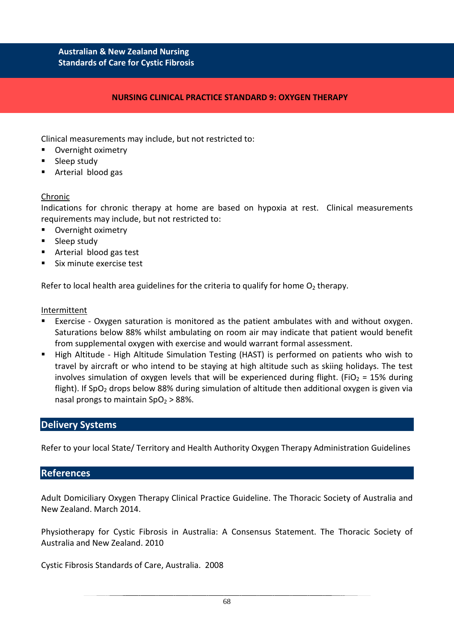#### **NURSING CLINICAL PRACTICE STANDARD 9: OXYGEN THERAPY**

Clinical measurements may include, but not restricted to:

- Overnight oximetry
- **Sleep study**
- Arterial blood gas

#### Chronic

Indications for chronic therapy at home are based on hypoxia at rest. Clinical measurements requirements may include, but not restricted to:

- **•** Overnight oximetry
- **Sleep study**
- Arterial blood gas test
- **Six minute exercise test**

Refer to local health area guidelines for the criteria to qualify for home  $O<sub>2</sub>$  therapy.

#### Intermittent

- Exercise Oxygen saturation is monitored as the patient ambulates with and without oxygen. Saturations below 88% whilst ambulating on room air may indicate that patient would benefit from supplemental oxygen with exercise and would warrant formal assessment.
- High Altitude High Altitude Simulation Testing (HAST) is performed on patients who wish to travel by aircraft or who intend to be staying at high altitude such as skiing holidays. The test involves simulation of oxygen levels that will be experienced during flight. (FiO<sub>2</sub> = 15% during flight). If SpO<sub>2</sub> drops below 88% during simulation of altitude then additional oxygen is given via nasal prongs to maintain  $SpO<sub>2</sub> > 88$ %.

### **Delivery Systems**

Refer to your local State/ Territory and Health Authority Oxygen Therapy Administration Guidelines

### **References**

Adult Domiciliary Oxygen Therapy Clinical Practice Guideline. The Thoracic Society of Australia and New Zealand. March 2014.

Physiotherapy for Cystic Fibrosis in Australia: A Consensus Statement. The Thoracic Society of Australia and New Zealand. 2010

Cystic Fibrosis Standards of Care, Australia. 2008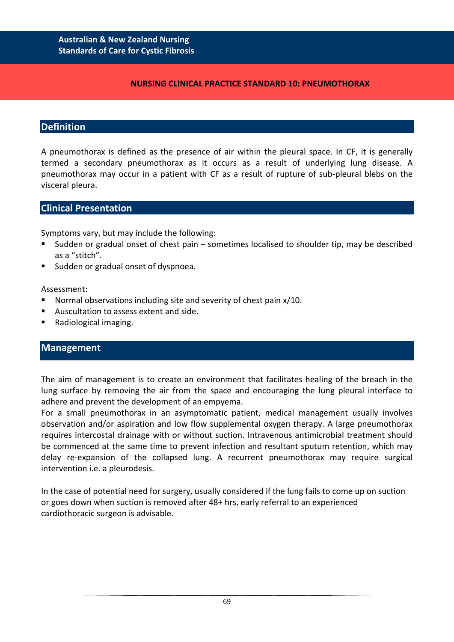#### **NURSING CLINICAL PRACTICE STANDARD 10: PNEUMOTHORAX**

### **Definition**

A pneumothorax is defined as the presence of air within the pleural space. In CF, it is generally termed a secondary pneumothorax as it occurs as a result of underlying lung disease. A pneumothorax may occur in a patient with CF as a result of rupture of sub-pleural blebs on the visceral pleura.

### **Clinical Presentation**

Symptoms vary, but may include the following:

- Sudden or gradual onset of chest pain sometimes localised to shoulder tip, may be described as a "stitch".
- Sudden or gradual onset of dyspnoea.

#### Assessment:

- Normal observations including site and severity of chest pain x/10.
- Auscultation to assess extent and side.
- Radiological imaging.

### **Management**

The aim of management is to create an environment that facilitates healing of the breach in the lung surface by removing the air from the space and encouraging the lung pleural interface to adhere and prevent the development of an empyema.

For a small pneumothorax in an asymptomatic patient, medical management usually involves observation and/or aspiration and low flow supplemental oxygen therapy. A large pneumothorax requires intercostal drainage with or without suction. Intravenous antimicrobial treatment should be commenced at the same time to prevent infection and resultant sputum retention, which may delay re-expansion of the collapsed lung. A recurrent pneumothorax may require surgical intervention i.e. a pleurodesis.

In the case of potential need for surgery, usually considered if the lung fails to come up on suction or goes down when suction is removed after 48+ hrs, early referral to an experienced cardiothoracic surgeon is advisable.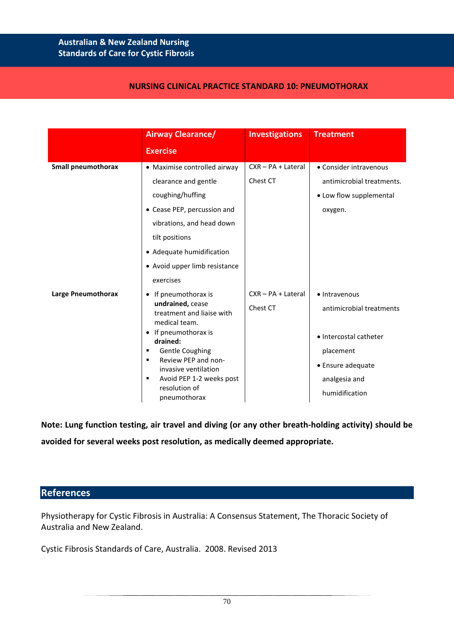#### **NURSING CLINICAL PRACTICE STANDARD 10: PNEUMOTHORAX**

|                           | <b>Airway Clearance/</b>                                                                                                                                                                                                                                                                 | <b>Investigations</b>            | <b>Treatment</b>                                                                                                                         |  |
|---------------------------|------------------------------------------------------------------------------------------------------------------------------------------------------------------------------------------------------------------------------------------------------------------------------------------|----------------------------------|------------------------------------------------------------------------------------------------------------------------------------------|--|
|                           | <b>Exercise</b>                                                                                                                                                                                                                                                                          |                                  |                                                                                                                                          |  |
| <b>Small pneumothorax</b> | • Maximise controlled airway<br>clearance and gentle<br>coughing/huffing<br>• Cease PEP, percussion and<br>vibrations, and head down<br>tilt positions<br>• Adequate humidification<br>• Avoid upper limb resistance                                                                     | $CXR - PA + Lateral$<br>Chest CT | • Consider intravenous<br>antimicrobial treatments.<br>• Low flow supplemental<br>oxygen.                                                |  |
| Large Pneumothorax        | exercises<br>If pneumothorax is<br>undrained, cease<br>treatment and liaise with<br>medical team.<br>If pneumothorax is<br>drained:<br><b>Gentle Coughing</b><br>٠<br>Review PEP and non-<br>٠<br>invasive ventilation<br>Avoid PEP 1-2 weeks post<br>٠<br>resolution of<br>pneumothorax | CXR - PA + Lateral<br>Chest CT   | • Intravenous<br>antimicrobial treatments<br>• Intercostal catheter<br>placement<br>• Ensure adequate<br>analgesia and<br>humidification |  |

**Note: Lung function testing, air travel and diving (or any other breath-holding activity) should be avoided for several weeks post resolution, as medically deemed appropriate.**

### **References**

Physiotherapy for Cystic Fibrosis in Australia: A Consensus Statement, The Thoracic Society of Australia and New Zealand.

Cystic Fibrosis Standards of Care, Australia. 2008. Revised 2013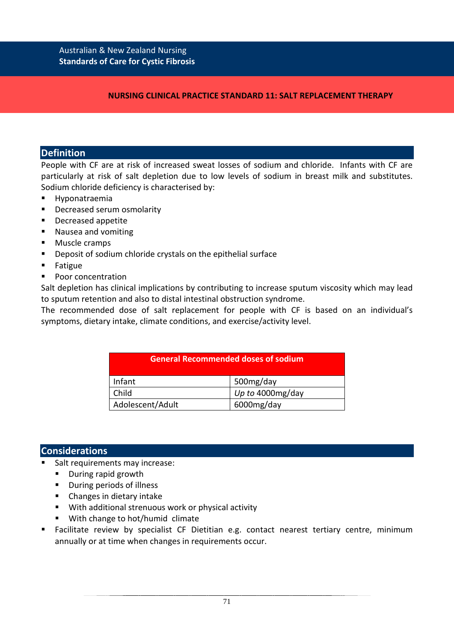## **NURSING CLINICAL PRACTICE STANDARD 11: SALT REPLACEMENT THERAPY**

# **Definition**

People with CF are at risk of increased sweat losses of sodium and chloride. Infants with CF are particularly at risk of salt depletion due to low levels of sodium in breast milk and substitutes. Sodium chloride deficiency is characterised by:

- **Hyponatraemia**
- **Decreased serum osmolarity**
- **Decreased appetite**
- Nausea and vomiting
- **Muscle cramps**
- **•** Deposit of sodium chloride crystals on the epithelial surface
- **Fatigue**
- Poor concentration

Salt depletion has clinical implications by contributing to increase sputum viscosity which may lead to sputum retention and also to distal intestinal obstruction syndrome.

The recommended dose of salt replacement for people with CF is based on an individual's symptoms, dietary intake, climate conditions, and exercise/activity level.

| <b>General Recommended doses of sodium</b> |                      |  |  |
|--------------------------------------------|----------------------|--|--|
| Infant                                     | 500mg/day            |  |  |
| Child                                      | Up to 4000 $mg$ /day |  |  |
| Adolescent/Adult                           | 6000mg/day           |  |  |

# **Considerations**

- Salt requirements may increase:
	- **During rapid growth**
	- **•** During periods of illness
	- Changes in dietary intake
	- With additional strenuous work or physical activity
	- With change to hot/humid climate
- Facilitate review by specialist CF Dietitian e.g. contact nearest tertiary centre, minimum annually or at time when changes in requirements occur.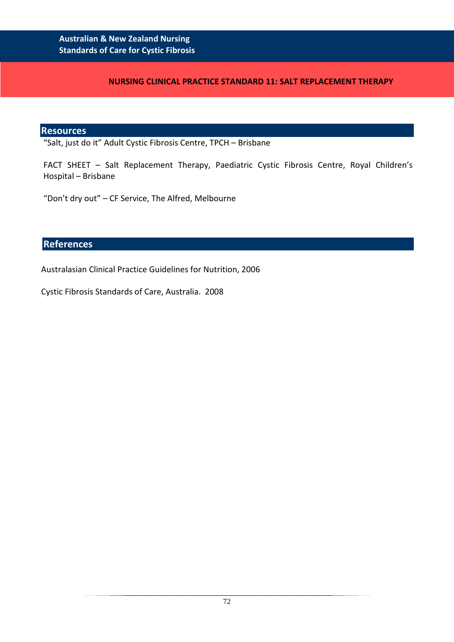#### **NURSING CLINICAL PRACTICE STANDARD 11: SALT REPLACEMENT THERAPY**

#### **Resources**

"Salt, just do it" Adult Cystic Fibrosis Centre, TPCH – Brisbane

FACT SHEET – Salt Replacement Therapy, Paediatric Cystic Fibrosis Centre, Royal Children's Hospital – Brisbane

"Don't dry out" – CF Service, The Alfred, Melbourne

# **References**

Australasian Clinical Practice Guidelines for Nutrition, 2006

Cystic Fibrosis Standards of Care, Australia. 2008